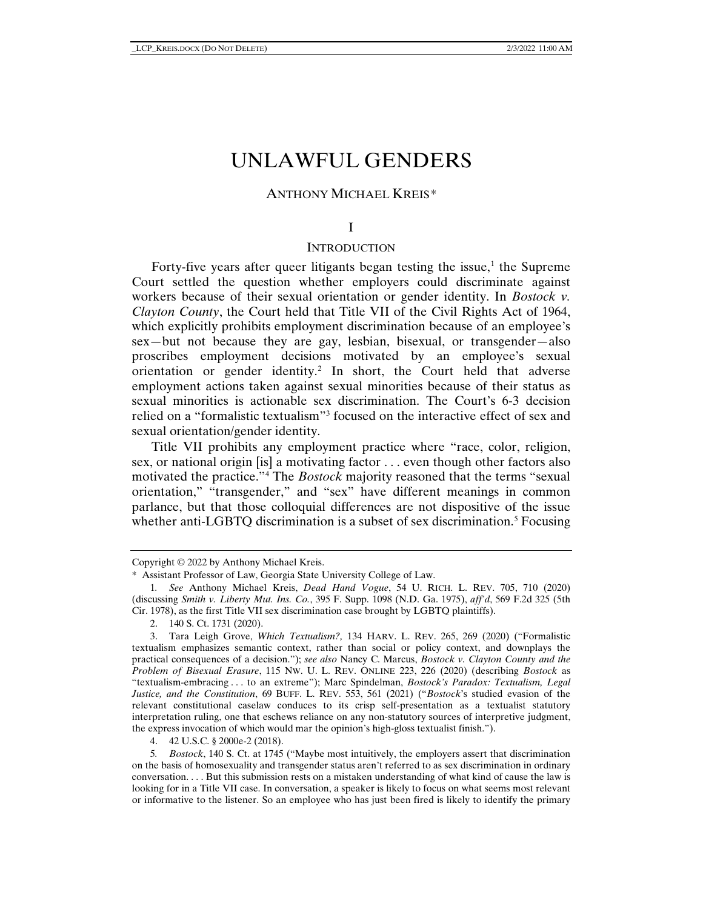# UNLAWFUL GENDERS

# ANTHONY MICHAEL KREIS*[\\*](#page-0-0)*

#### I

## **INTRODUCTION**

Forty-five years after queer litigants began testing the issue, $<sup>1</sup>$  $<sup>1</sup>$  $<sup>1</sup>$  the Supreme</sup> Court settled the question whether employers could discriminate against workers because of their sexual orientation or gender identity. In *Bostock v. Clayton County*, the Court held that Title VII of the Civil Rights Act of 1964, which explicitly prohibits employment discrimination because of an employee's sex—but not because they are gay, lesbian, bisexual, or transgender—also proscribes employment decisions motivated by an employee's sexual orientation or gender identity.[2](#page-0-2) In short, the Court held that adverse employment actions taken against sexual minorities because of their status as sexual minorities is actionable sex discrimination. The Court's 6-3 decision relied on a "formalistic textualism"[3](#page-0-3) focused on the interactive effect of sex and sexual orientation/gender identity.

Title VII prohibits any employment practice where "race, color, religion, sex, or national origin [is] a motivating factor . . . even though other factors also motivated the practice."[4](#page-0-4) The *Bostock* majority reasoned that the terms "sexual orientation," "transgender," and "sex" have different meanings in common parlance, but that those colloquial differences are not dispositive of the issue whether anti-LGBTQ discrimination is a subset of sex discrimination.<sup>[5](#page-0-5)</sup> Focusing

<span id="page-0-0"></span>Copyright © 2022 by Anthony Michael Kreis.

<sup>\*</sup> Assistant Professor of Law, Georgia State University College of Law.

<span id="page-0-1"></span><sup>1</sup>*. See* Anthony Michael Kreis, *Dead Hand Vogue*, 54 U. RICH. L. REV. 705, 710 (2020) (discussing *Smith v. Liberty Mut. Ins. Co.*, 395 F. Supp. 1098 (N.D. Ga. 1975), *aff'd*, 569 F.2d 325 (5th Cir. 1978), as the first Title VII sex discrimination case brought by LGBTQ plaintiffs).

<sup>2.</sup> 140 S. Ct. 1731 (2020).

<span id="page-0-3"></span><span id="page-0-2"></span><sup>3.</sup> Tara Leigh Grove, *Which Textualism?,* 134 HARV. L. REV. 265, 269 (2020) ("Formalistic textualism emphasizes semantic context, rather than social or policy context, and downplays the practical consequences of a decision."); *see also* Nancy C. Marcus, *Bostock v. Clayton County and the Problem of Bisexual Erasure*, 115 NW. U. L. REV. ONLINE 223, 226 (2020) (describing *Bostock* as "textualism-embracing . . . to an extreme"); Marc Spindelman, *Bostock's Paradox: Textualism, Legal Justice, and the Constitution*, 69 BUFF. L. REV. 553, 561 (2021) ("*Bostock*'s studied evasion of the relevant constitutional caselaw conduces to its crisp self-presentation as a textualist statutory interpretation ruling, one that eschews reliance on any non-statutory sources of interpretive judgment, the express invocation of which would mar the opinion's high-gloss textualist finish.").

<sup>4.</sup> 42 U.S.C. § 2000e-2 (2018).

<span id="page-0-5"></span><span id="page-0-4"></span><sup>5</sup>*. Bostock*, 140 S. Ct. at 1745 ("Maybe most intuitively, the employers assert that discrimination on the basis of homosexuality and transgender status aren't referred to as sex discrimination in ordinary conversation. . . . But this submission rests on a mistaken understanding of what kind of cause the law is looking for in a Title VII case. In conversation, a speaker is likely to focus on what seems most relevant or informative to the listener. So an employee who has just been fired is likely to identify the primary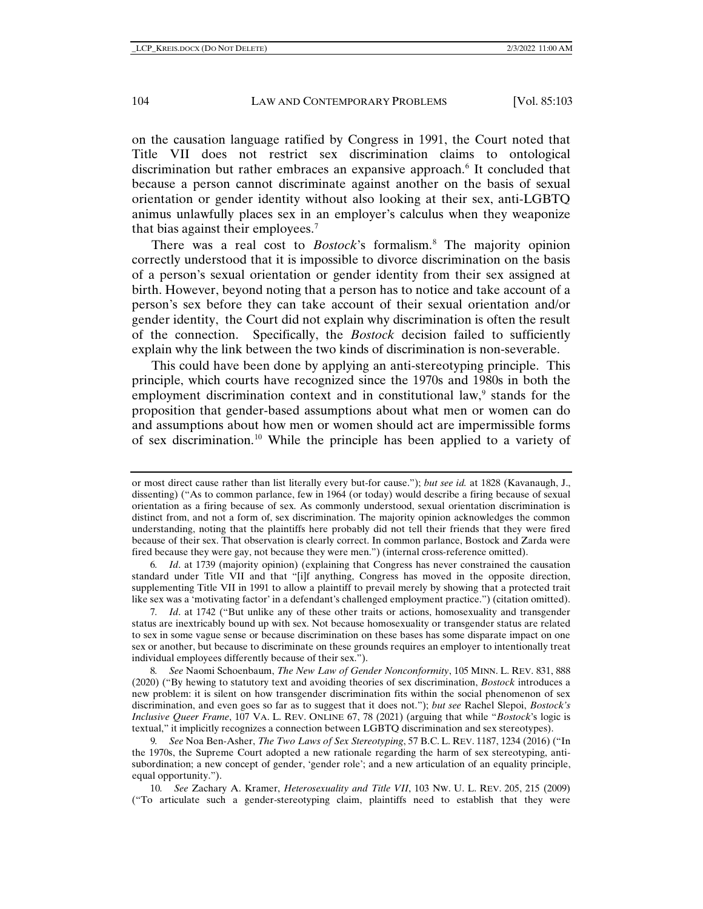on the causation language ratified by Congress in 1991, the Court noted that Title VII does not restrict sex discrimination claims to ontological discrimination but rather embraces an expansive approach[.6](#page-1-0) It concluded that because a person cannot discriminate against another on the basis of sexual orientation or gender identity without also looking at their sex, anti-LGBTQ animus unlawfully places sex in an employer's calculus when they weaponize that bias against their employees.[7](#page-1-1)

There was a real cost to *Bostock*'s formalism.[8](#page-1-2) The majority opinion correctly understood that it is impossible to divorce discrimination on the basis of a person's sexual orientation or gender identity from their sex assigned at birth. However, beyond noting that a person has to notice and take account of a person's sex before they can take account of their sexual orientation and/or gender identity, the Court did not explain why discrimination is often the result of the connection. Specifically, the *Bostock* decision failed to sufficiently explain why the link between the two kinds of discrimination is non-severable.

This could have been done by applying an anti-stereotyping principle. This principle, which courts have recognized since the 1970s and 1980s in both the employment discrimination context and in constitutional law, $9$  stands for the proposition that gender-based assumptions about what men or women can do and assumptions about how men or women should act are impermissible forms of sex discrimination.[10](#page-1-4) While the principle has been applied to a variety of

<span id="page-1-0"></span>6*. Id*. at 1739 (majority opinion) (explaining that Congress has never constrained the causation standard under Title VII and that "[i]f anything, Congress has moved in the opposite direction, supplementing Title VII in 1991 to allow a plaintiff to prevail merely by showing that a protected trait like sex was a 'motivating factor' in a defendant's challenged employment practice.") (citation omitted).

<span id="page-1-1"></span>7*. Id*. at 1742 ("But unlike any of these other traits or actions, homosexuality and transgender status are inextricably bound up with sex. Not because homosexuality or transgender status are related to sex in some vague sense or because discrimination on these bases has some disparate impact on one sex or another, but because to discriminate on these grounds requires an employer to intentionally treat individual employees differently because of their sex.").

<span id="page-1-2"></span>8*. See* Naomi Schoenbaum, *The New Law of Gender Nonconformity*, 105 MINN. L. REV. 831, 888 (2020) ("By hewing to statutory text and avoiding theories of sex discrimination, *Bostock* introduces a new problem: it is silent on how transgender discrimination fits within the social phenomenon of sex discrimination, and even goes so far as to suggest that it does not."); *but see* Rachel Slepoi, *Bostock's Inclusive Queer Frame*, 107 VA. L. REV. ONLINE 67, 78 (2021) (arguing that while "*Bostock*'s logic is textual," it implicitly recognizes a connection between LGBTQ discrimination and sex stereotypes).

<span id="page-1-3"></span>9*. See* Noa Ben-Asher, *The Two Laws of Sex Stereotyping*, 57 B.C. L. REV. 1187, 1234 (2016) ("In the 1970s, the Supreme Court adopted a new rationale regarding the harm of sex stereotyping, antisubordination; a new concept of gender, 'gender role'; and a new articulation of an equality principle, equal opportunity.").

<span id="page-1-4"></span>10*. See* Zachary A. Kramer, *Heterosexuality and Title VII*, 103 NW. U. L. REV. 205, 215 (2009) ("To articulate such a gender-stereotyping claim, plaintiffs need to establish that they were

or most direct cause rather than list literally every but-for cause."); *but see id.* at 1828 (Kavanaugh, J., dissenting) ("As to common parlance, few in 1964 (or today) would describe a firing because of sexual orientation as a firing because of sex. As commonly understood, sexual orientation discrimination is distinct from, and not a form of, sex discrimination. The majority opinion acknowledges the common understanding, noting that the plaintiffs here probably did not tell their friends that they were fired because of their sex. That observation is clearly correct. In common parlance, Bostock and Zarda were fired because they were gay, not because they were men.") (internal cross-reference omitted).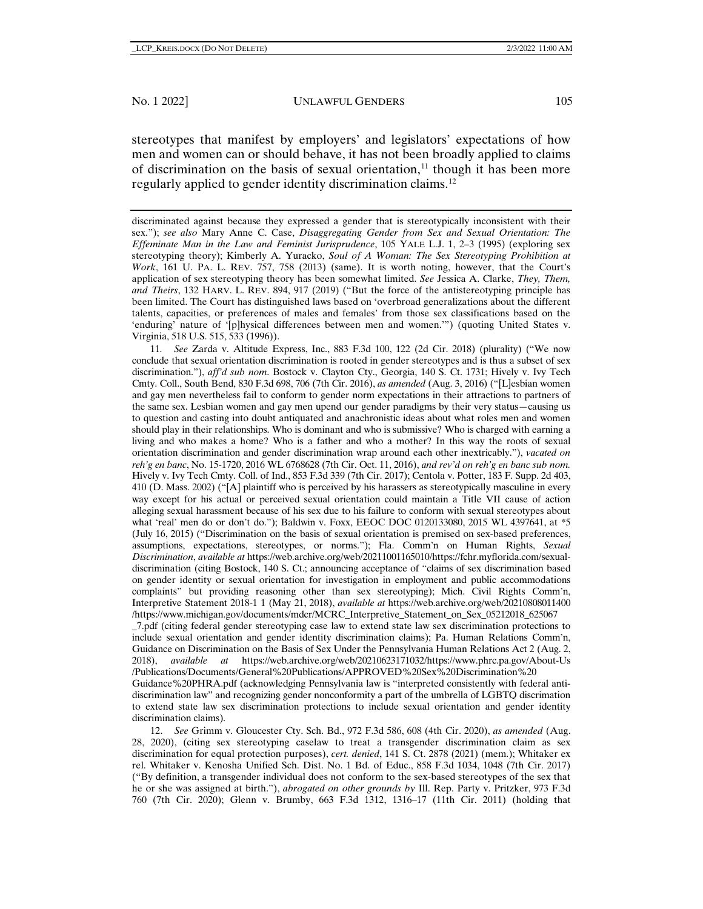<span id="page-2-2"></span>stereotypes that manifest by employers' and legislators' expectations of how men and women can or should behave, it has not been broadly applied to claims of discrimination on the basis of sexual orientation, $<sup>11</sup>$  $<sup>11</sup>$  $<sup>11</sup>$  though it has been more</sup> regularly applied to gender identity discrimination claims.[12](#page-2-1)

discriminated against because they expressed a gender that is stereotypically inconsistent with their sex."); *see also* Mary Anne C. Case, *Disaggregating Gender from Sex and Sexual Orientation: The Effeminate Man in the Law and Feminist Jurisprudence*, 105 YALE L.J. 1, 2–3 (1995) (exploring sex stereotyping theory); Kimberly A. Yuracko, *Soul of A Woman: The Sex Stereotyping Prohibition at Work*, 161 U. PA. L. REV. 757, 758 (2013) (same). It is worth noting, however, that the Court's application of sex stereotyping theory has been somewhat limited. *See* Jessica A. Clarke, *They, Them, and Theirs*, 132 HARV. L. REV. 894, 917 (2019) ("But the force of the antistereotyping principle has been limited. The Court has distinguished laws based on 'overbroad generalizations about the different talents, capacities, or preferences of males and females' from those sex classifications based on the 'enduring' nature of '[p]hysical differences between men and women.'") (quoting United States v. Virginia, 518 U.S. 515, 533 (1996)).

<span id="page-2-0"></span>11*. See* Zarda v. Altitude Express, Inc., 883 F.3d 100, 122 (2d Cir. 2018) (plurality) ("We now conclude that sexual orientation discrimination is rooted in gender stereotypes and is thus a subset of sex discrimination."), *aff'd sub nom*. Bostock v. Clayton Cty., Georgia, 140 S. Ct. 1731; Hively v. Ivy Tech Cmty. Coll., South Bend, 830 F.3d 698, 706 (7th Cir. 2016), *as amended* (Aug. 3, 2016) ("[L]esbian women and gay men nevertheless fail to conform to gender norm expectations in their attractions to partners of the same sex. Lesbian women and gay men upend our gender paradigms by their very status—causing us to question and casting into doubt antiquated and anachronistic ideas about what roles men and women should play in their relationships. Who is dominant and who is submissive? Who is charged with earning a living and who makes a home? Who is a father and who a mother? In this way the roots of sexual orientation discrimination and gender discrimination wrap around each other inextricably."), *vacated on reh'g en banc*, No. 15-1720, 2016 WL 6768628 (7th Cir. Oct. 11, 2016), *and rev'd on reh'g en banc sub nom.* Hively v. Ivy Tech Cmty. Coll. of Ind., 853 F.3d 339 (7th Cir. 2017); Centola v. Potter, 183 F. Supp. 2d 403, 410 (D. Mass. 2002) ("[A] plaintiff who is perceived by his harassers as stereotypically masculine in every way except for his actual or perceived sexual orientation could maintain a Title VII cause of action alleging sexual harassment because of his sex due to his failure to conform with sexual stereotypes about what 'real' men do or don't do."); Baldwin v. Foxx, EEOC DOC 0120133080, 2015 WL 4397641, at \*5 (July 16, 2015) ("Discrimination on the basis of sexual orientation is premised on sex-based preferences, assumptions, expectations, stereotypes, or norms."); Fla. Comm'n on Human Rights, *Sexual Discrimination*, *available at* https://web.archive.org/web/20211001165010/https://fchr.myflorida.com/sexualdiscrimination (citing Bostock, 140 S. Ct.; announcing acceptance of "claims of sex discrimination based on gender identity or sexual orientation for investigation in employment and public accommodations complaints" but providing reasoning other than sex stereotyping); Mich. Civil Rights Comm'n, Interpretive Statement 2018-1 1 (May 21, 2018), *available at* https://web.archive.org/web/20210808011400 /https://www.michigan.gov/documents/mdcr/MCRC\_Interpretive\_Statement\_on\_Sex\_05212018\_625067 \_7.pdf (citing federal gender stereotyping case law to extend state law sex discrimination protections to include sexual orientation and gender identity discrimination claims); Pa. Human Relations Comm'n, Guidance on Discrimination on the Basis of Sex Under the Pennsylvania Human Relations Act 2 (Aug. 2, 2018), *available at* https://web.archive.org/web/20210623171032/https://www.phrc.pa.gov/About-Us /Publications/Documents/General%20Publications/APPROVED%20Sex%20Discrimination%20 Guidance%20PHRA.pdf (acknowledging Pennsylvania law is "interpreted consistently with federal antidiscrimination law" and recognizing gender nonconformity a part of the umbrella of LGBTQ discrimation to extend state law sex discrimination protections to include sexual orientation and gender identity discrimination claims).

<span id="page-2-1"></span>12. *See* Grimm v. Gloucester Cty. Sch. Bd., 972 F.3d 586, 608 (4th Cir. 2020), *as amended* (Aug. 28, 2020), (citing sex stereotyping caselaw to treat a transgender discrimination claim as sex discrimination for equal protection purposes), *cert. denied*, 141 S. Ct. 2878 (2021) (mem.); Whitaker ex rel. Whitaker v. Kenosha Unified Sch. Dist. No. 1 Bd. of Educ., 858 F.3d 1034, 1048 (7th Cir. 2017) ("By definition, a transgender individual does not conform to the sex-based stereotypes of the sex that he or she was assigned at birth."), *abrogated on other grounds by* Ill. Rep. Party v. Pritzker, 973 F.3d 760 (7th Cir. 2020); Glenn v. Brumby, 663 F.3d 1312, 1316–17 (11th Cir. 2011) (holding that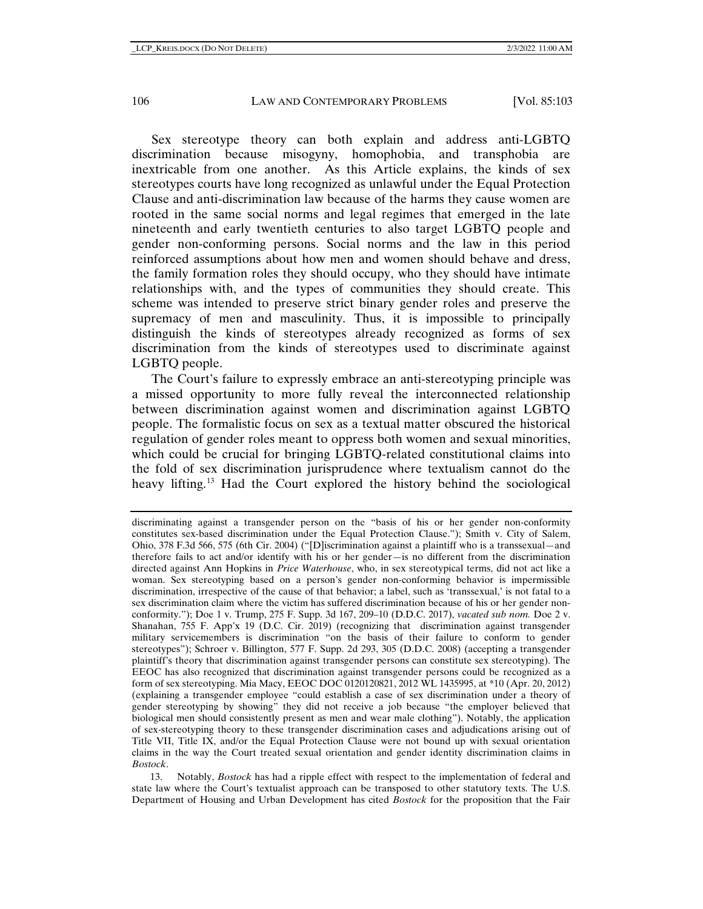Sex stereotype theory can both explain and address anti-LGBTQ discrimination because misogyny, homophobia, and transphobia are inextricable from one another. As this Article explains, the kinds of sex stereotypes courts have long recognized as unlawful under the Equal Protection Clause and anti-discrimination law because of the harms they cause women are rooted in the same social norms and legal regimes that emerged in the late nineteenth and early twentieth centuries to also target LGBTQ people and gender non-conforming persons. Social norms and the law in this period reinforced assumptions about how men and women should behave and dress, the family formation roles they should occupy, who they should have intimate relationships with, and the types of communities they should create. This scheme was intended to preserve strict binary gender roles and preserve the supremacy of men and masculinity. Thus, it is impossible to principally distinguish the kinds of stereotypes already recognized as forms of sex discrimination from the kinds of stereotypes used to discriminate against LGBTQ people.

The Court's failure to expressly embrace an anti-stereotyping principle was a missed opportunity to more fully reveal the interconnected relationship between discrimination against women and discrimination against LGBTQ people. The formalistic focus on sex as a textual matter obscured the historical regulation of gender roles meant to oppress both women and sexual minorities, which could be crucial for bringing LGBTQ-related constitutional claims into the fold of sex discrimination jurisprudence where textualism cannot do the heavy lifting.[13](#page-3-0) Had the Court explored the history behind the sociological

discriminating against a transgender person on the "basis of his or her gender non-conformity constitutes sex-based discrimination under the Equal Protection Clause."); Smith v. City of Salem, Ohio, 378 F.3d 566, 575 (6th Cir. 2004) ("[D]iscrimination against a plaintiff who is a transsexual—and therefore fails to act and/or identify with his or her gender—is no different from the discrimination directed against Ann Hopkins in *Price Waterhouse*, who, in sex stereotypical terms, did not act like a woman. Sex stereotyping based on a person's gender non-conforming behavior is impermissible discrimination, irrespective of the cause of that behavior; a label, such as 'transsexual,' is not fatal to a sex discrimination claim where the victim has suffered discrimination because of his or her gender nonconformity."); Doe 1 v. Trump, 275 F. Supp. 3d 167, 209–10 (D.D.C. 2017), *vacated sub nom.* Doe 2 v. Shanahan, 755 F. App'x 19 (D.C. Cir. 2019) (recognizing that discrimination against transgender military servicemembers is discrimination "on the basis of their failure to conform to gender stereotypes"); Schroer v. Billington, 577 F. Supp. 2d 293, 305 (D.D.C. 2008) (accepting a transgender plaintiff's theory that discrimination against transgender persons can constitute sex stereotyping). The EEOC has also recognized that discrimination against transgender persons could be recognized as a form of sex stereotyping. Mia Macy, EEOC DOC 0120120821, 2012 WL 1435995, at \*10 (Apr. 20, 2012) (explaining a transgender employee "could establish a case of sex discrimination under a theory of gender stereotyping by showing" they did not receive a job because "the employer believed that biological men should consistently present as men and wear male clothing"). Notably, the application of sex-stereotyping theory to these transgender discrimination cases and adjudications arising out of Title VII, Title IX, and/or the Equal Protection Clause were not bound up with sexual orientation claims in the way the Court treated sexual orientation and gender identity discrimination claims in *Bostock*.

<span id="page-3-0"></span><sup>13.</sup> Notably, *Bostock* has had a ripple effect with respect to the implementation of federal and state law where the Court's textualist approach can be transposed to other statutory texts. The U.S. Department of Housing and Urban Development has cited *Bostock* for the proposition that the Fair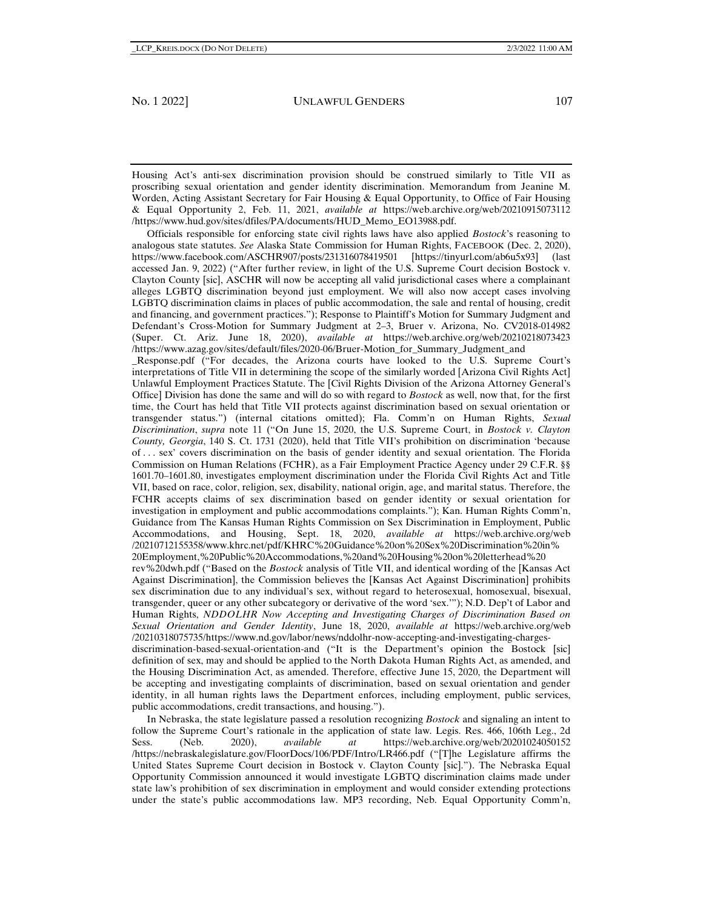Housing Act's anti-sex discrimination provision should be construed similarly to Title VII as proscribing sexual orientation and gender identity discrimination. Memorandum from Jeanine M. Worden, Acting Assistant Secretary for Fair Housing & Equal Opportunity, to Office of Fair Housing & Equal Opportunity 2, Feb. 11, 2021, *available at* https://web.archive.org/web/20210915073112 /https://www.hud.gov/sites/dfiles/PA/documents/HUD\_Memo\_EO13988.pdf.

Officials responsible for enforcing state civil rights laws have also applied *Bostock*'s reasoning to analogous state statutes. *See* Alaska State Commission for Human Rights, FACEBOOK (Dec. 2, 2020), https://www.facebook.com/ASCHR907/posts/231316078419501 [https://tinyurl.com/ab6u5x93] (last accessed Jan. 9, 2022) ("After further review, in light of the U.S. Supreme Court decision Bostock v. Clayton County [sic], ASCHR will now be accepting all valid jurisdictional cases where a complainant alleges LGBTQ discrimination beyond just employment. We will also now accept cases involving LGBTQ discrimination claims in places of public accommodation, the sale and rental of housing, credit and financing, and government practices."); Response to Plaintiff's Motion for Summary Judgment and Defendant's Cross-Motion for Summary Judgment at 2–3, Bruer v. Arizona, No. CV2018-014982 (Super. Ct. Ariz. June 18, 2020), *available at* https://web.archive.org/web/20210218073423 /https://www.azag.gov/sites/default/files/2020-06/Bruer-Motion\_for\_Summary\_Judgment\_and

\_Response.pdf ("For decades, the Arizona courts have looked to the U.S. Supreme Court's interpretations of Title VII in determining the scope of the similarly worded [Arizona Civil Rights Act] Unlawful Employment Practices Statute. The [Civil Rights Division of the Arizona Attorney General's Office] Division has done the same and will do so with regard to *Bostock* as well, now that, for the first time, the Court has held that Title VII protects against discrimination based on sexual orientation or transgender status.") (internal citations omitted); Fla. Comm'n on Human Rights, *Sexual Discrimination*, *supra* note [11](#page-2-2) ("On June 15, 2020, the U.S. Supreme Court, in *Bostock v. Clayton County, Georgia*, 140 S. Ct. 1731 (2020), held that Title VII's prohibition on discrimination 'because of . . . sex' covers discrimination on the basis of gender identity and sexual orientation. The Florida Commission on Human Relations (FCHR), as a Fair Employment Practice Agency under 29 C.F.R. §§ 1601.70–1601.80, investigates employment discrimination under the Florida Civil Rights Act and Title VII, based on race, color, religion, sex, disability, national origin, age, and marital status. Therefore, the FCHR accepts claims of sex discrimination based on gender identity or sexual orientation for investigation in employment and public accommodations complaints."); Kan. Human Rights Comm'n, Guidance from The Kansas Human Rights Commission on Sex Discrimination in Employment, Public Accommodations, and Housing, Sept. 18, 2020, *available at* https://web.archive.org/web /20210712155358/www.khrc.net/pdf/KHRC%20Guidance%20on%20Sex%20Discrimination%20in% 20Employment,%20Public%20Accommodations,%20and%20Housing%20on%20letterhead%20

rev%20dwh.pdf ("Based on the *Bostock* analysis of Title VII, and identical wording of the [Kansas Act Against Discrimination], the Commission believes the [Kansas Act Against Discrimination] prohibits sex discrimination due to any individual's sex, without regard to heterosexual, homosexual, bisexual, transgender, queer or any other subcategory or derivative of the word 'sex.'"); N.D. Dep't of Labor and Human Rights, *NDDOLHR Now Accepting and Investigating Charges of Discrimination Based on Sexual Orientation and Gender Identity*, June 18, 2020, *available at* https://web.archive.org/web /20210318075735/https://www.nd.gov/labor/news/nddolhr-now-accepting-and-investigating-charges-

discrimination-based-sexual-orientation-and ("It is the Department's opinion the Bostock [sic] definition of sex, may and should be applied to the North Dakota Human Rights Act, as amended, and the Housing Discrimination Act, as amended. Therefore, effective June 15, 2020, the Department will be accepting and investigating complaints of discrimination, based on sexual orientation and gender identity, in all human rights laws the Department enforces, including employment, public services, public accommodations, credit transactions, and housing.").

In Nebraska, the state legislature passed a resolution recognizing *Bostock* and signaling an intent to follow the Supreme Court's rationale in the application of state law. Legis. Res. 466, 106th Leg., 2d Sess. (Neb. 2020), *available at* https://web.archive.org/web/20201024050152 /https://nebraskalegislature.gov/FloorDocs/106/PDF/Intro/LR466.pdf ("[T]he Legislature affirms the United States Supreme Court decision in Bostock v. Clayton County [sic]."). The Nebraska Equal Opportunity Commission announced it would investigate LGBTQ discrimination claims made under state law's prohibition of sex discrimination in employment and would consider extending protections under the state's public accommodations law. MP3 recording, Neb. Equal Opportunity Comm'n,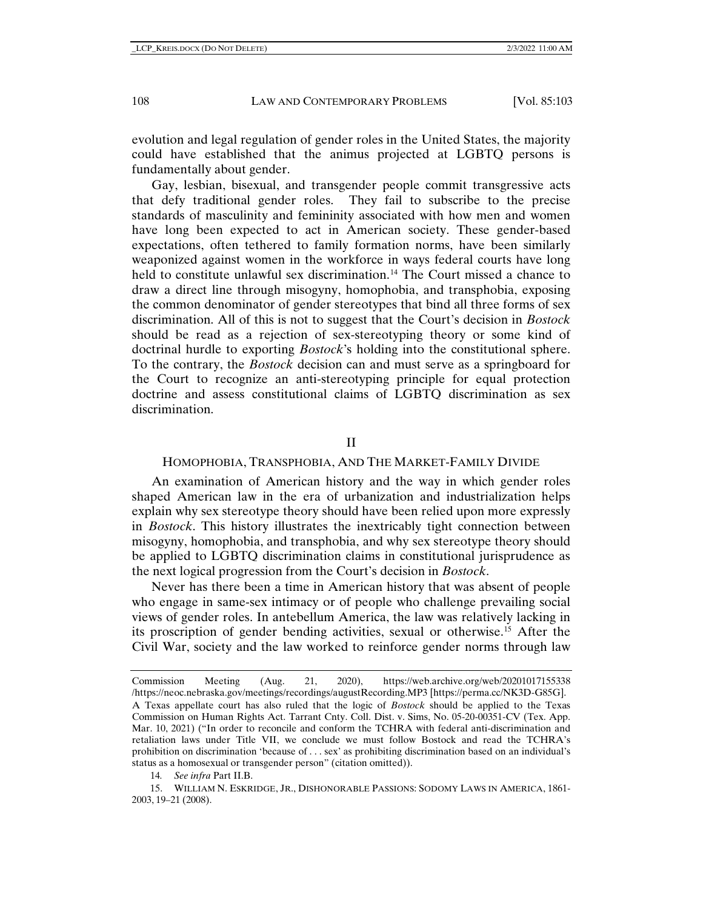evolution and legal regulation of gender roles in the United States, the majority could have established that the animus projected at LGBTQ persons is fundamentally about gender.

Gay, lesbian, bisexual, and transgender people commit transgressive acts that defy traditional gender roles. They fail to subscribe to the precise standards of masculinity and femininity associated with how men and women have long been expected to act in American society. These gender-based expectations, often tethered to family formation norms, have been similarly weaponized against women in the workforce in ways federal courts have long held to constitute unlawful sex discrimination.<sup>[14](#page-5-0)</sup> The Court missed a chance to draw a direct line through misogyny, homophobia, and transphobia, exposing the common denominator of gender stereotypes that bind all three forms of sex discrimination. All of this is not to suggest that the Court's decision in *Bostock*  should be read as a rejection of sex-stereotyping theory or some kind of doctrinal hurdle to exporting *Bostock*'s holding into the constitutional sphere. To the contrary, the *Bostock* decision can and must serve as a springboard for the Court to recognize an anti-stereotyping principle for equal protection doctrine and assess constitutional claims of LGBTQ discrimination as sex discrimination.

# <span id="page-5-2"></span>II

## HOMOPHOBIA, TRANSPHOBIA, AND THE MARKET-FAMILY DIVIDE

An examination of American history and the way in which gender roles shaped American law in the era of urbanization and industrialization helps explain why sex stereotype theory should have been relied upon more expressly in *Bostock*. This history illustrates the inextricably tight connection between misogyny, homophobia, and transphobia, and why sex stereotype theory should be applied to LGBTQ discrimination claims in constitutional jurisprudence as the next logical progression from the Court's decision in *Bostock*.

Never has there been a time in American history that was absent of people who engage in same-sex intimacy or of people who challenge prevailing social views of gender roles. In antebellum America, the law was relatively lacking in its proscription of gender bending activities, sexual or otherwise.[15](#page-5-1) After the Civil War, society and the law worked to reinforce gender norms through law

14*. See infra* Part II.B.

Commission Meeting (Aug. 21, 2020), https://web.archive.org/web/20201017155338 /https://neoc.nebraska.gov/meetings/recordings/augustRecording.MP3 [https://perma.cc/NK3D-G85G]. A Texas appellate court has also ruled that the logic of *Bostock* should be applied to the Texas Commission on Human Rights Act. Tarrant Cnty. Coll. Dist. v. Sims, No. 05-20-00351-CV (Tex. App. Mar. 10, 2021) ("In order to reconcile and conform the TCHRA with federal anti-discrimination and retaliation laws under Title VII, we conclude we must follow Bostock and read the TCHRA's prohibition on discrimination 'because of . . . sex' as prohibiting discrimination based on an individual's status as a homosexual or transgender person" (citation omitted)).

<span id="page-5-1"></span><span id="page-5-0"></span><sup>15.</sup> WILLIAM N. ESKRIDGE, JR., DISHONORABLE PASSIONS: SODOMY LAWS IN AMERICA, 1861- 2003, 19–21 (2008).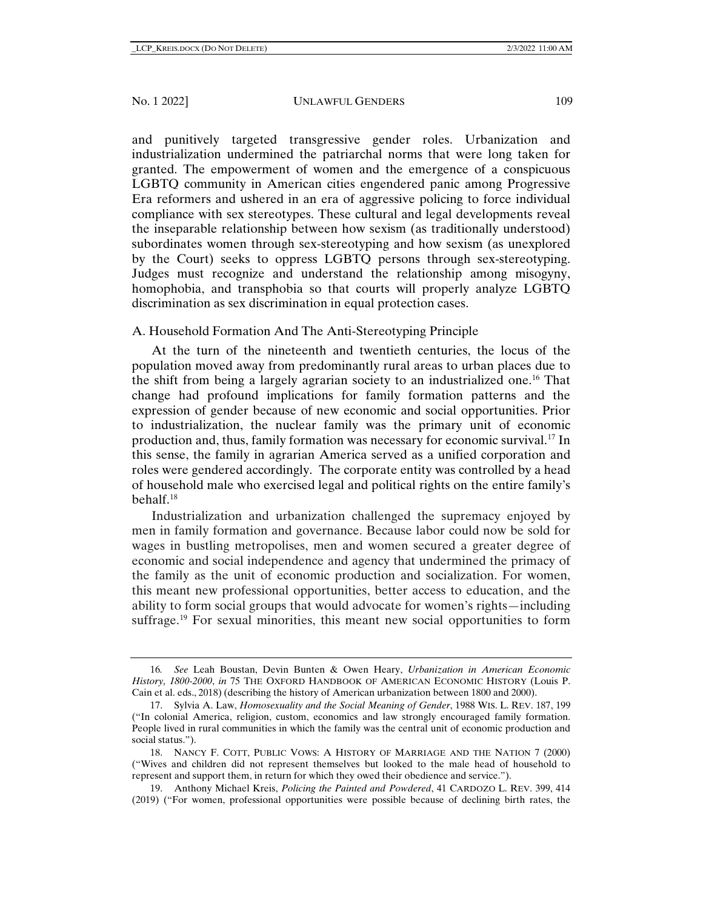and punitively targeted transgressive gender roles. Urbanization and industrialization undermined the patriarchal norms that were long taken for granted. The empowerment of women and the emergence of a conspicuous LGBTQ community in American cities engendered panic among Progressive Era reformers and ushered in an era of aggressive policing to force individual compliance with sex stereotypes. These cultural and legal developments reveal the inseparable relationship between how sexism (as traditionally understood) subordinates women through sex-stereotyping and how sexism (as unexplored by the Court) seeks to oppress LGBTQ persons through sex-stereotyping. Judges must recognize and understand the relationship among misogyny, homophobia, and transphobia so that courts will properly analyze LGBTQ discrimination as sex discrimination in equal protection cases.

## A. Household Formation And The Anti-Stereotyping Principle

At the turn of the nineteenth and twentieth centuries, the locus of the population moved away from predominantly rural areas to urban places due to the shift from being a largely agrarian society to an industrialized one.[16](#page-6-0) That change had profound implications for family formation patterns and the expression of gender because of new economic and social opportunities. Prior to industrialization, the nuclear family was the primary unit of economic production and, thus, family formation was necessary for economic survival.[17](#page-6-1) In this sense, the family in agrarian America served as a unified corporation and roles were gendered accordingly. The corporate entity was controlled by a head of household male who exercised legal and political rights on the entire family's behalf.[18](#page-6-2)

Industrialization and urbanization challenged the supremacy enjoyed by men in family formation and governance. Because labor could now be sold for wages in bustling metropolises, men and women secured a greater degree of economic and social independence and agency that undermined the primacy of the family as the unit of economic production and socialization. For women, this meant new professional opportunities, better access to education, and the ability to form social groups that would advocate for women's rights—including suffrage.<sup>[19](#page-6-3)</sup> For sexual minorities, this meant new social opportunities to form

<span id="page-6-4"></span><span id="page-6-0"></span><sup>16</sup>*. See* Leah Boustan, Devin Bunten & Owen Heary, *Urbanization in American Economic History, 1800-2000*, *in* 75 THE OXFORD HANDBOOK OF AMERICAN ECONOMIC HISTORY (Louis P. Cain et al. eds., 2018) (describing the history of American urbanization between 1800 and 2000).

<span id="page-6-1"></span><sup>17.</sup> Sylvia A. Law, *Homosexuality and the Social Meaning of Gender*, 1988 WIS. L. REV. 187, 199 ("In colonial America, religion, custom, economics and law strongly encouraged family formation. People lived in rural communities in which the family was the central unit of economic production and social status.").

<span id="page-6-2"></span><sup>18.</sup> NANCY F. COTT, PUBLIC VOWS: A HISTORY OF MARRIAGE AND THE NATION 7 (2000) ("Wives and children did not represent themselves but looked to the male head of household to represent and support them, in return for which they owed their obedience and service.").

<span id="page-6-3"></span><sup>19.</sup> Anthony Michael Kreis, *Policing the Painted and Powdered*, 41 CARDOZO L. REV. 399, 414 (2019) ("For women, professional opportunities were possible because of declining birth rates, the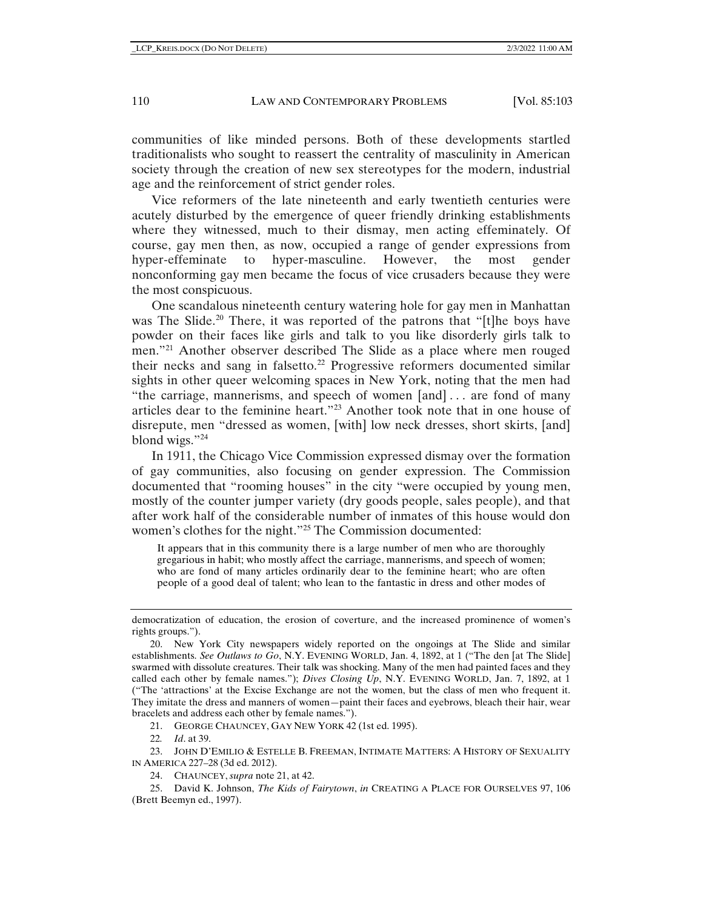communities of like minded persons. Both of these developments startled traditionalists who sought to reassert the centrality of masculinity in American society through the creation of new sex stereotypes for the modern, industrial age and the reinforcement of strict gender roles.

Vice reformers of the late nineteenth and early twentieth centuries were acutely disturbed by the emergence of queer friendly drinking establishments where they witnessed, much to their dismay, men acting effeminately. Of course, gay men then, as now, occupied a range of gender expressions from hyper-effeminate to hyper-masculine. However, the most gender nonconforming gay men became the focus of vice crusaders because they were the most conspicuous.

<span id="page-7-0"></span>One scandalous nineteenth century watering hole for gay men in Manhattan was The Slide.<sup>[20](#page-7-1)</sup> There, it was reported of the patrons that "[t]he boys have powder on their faces like girls and talk to you like disorderly girls talk to men.["21](#page-7-2) Another observer described The Slide as a place where men rouged their necks and sang in falsetto.<sup>[22](#page-7-3)</sup> Progressive reformers documented similar sights in other queer welcoming spaces in New York, noting that the men had "the carriage, mannerisms, and speech of women [and] . . . are fond of many articles dear to the feminine heart."[23](#page-7-4) Another took note that in one house of disrepute, men "dressed as women, [with] low neck dresses, short skirts, [and] blond wigs."[24](#page-7-5)

<span id="page-7-7"></span>In 1911, the Chicago Vice Commission expressed dismay over the formation of gay communities, also focusing on gender expression. The Commission documented that "rooming houses" in the city "were occupied by young men, mostly of the counter jumper variety (dry goods people, sales people), and that after work half of the considerable number of inmates of this house would don women's clothes for the night."[25](#page-7-6) The Commission documented:

It appears that in this community there is a large number of men who are thoroughly gregarious in habit; who mostly affect the carriage, mannerisms, and speech of women; who are fond of many articles ordinarily dear to the feminine heart; who are often people of a good deal of talent; who lean to the fantastic in dress and other modes of

21. GEORGE CHAUNCEY, GAY NEW YORK 42 (1st ed. 1995).

22*. Id*. at 39.

<span id="page-7-4"></span><span id="page-7-3"></span><span id="page-7-2"></span>23. JOHN D'EMILIO & ESTELLE B. FREEMAN, INTIMATE MATTERS: A HISTORY OF SEXUALITY IN AMERICA 227–28 (3d ed. 2012).

24. CHAUNCEY, *supra* not[e 21,](#page-7-0) at 42.

<span id="page-7-6"></span><span id="page-7-5"></span>25. David K. Johnson, *The Kids of Fairytown*, *in* CREATING A PLACE FOR OURSELVES 97, 106 (Brett Beemyn ed., 1997).

democratization of education, the erosion of coverture, and the increased prominence of women's rights groups.").

<span id="page-7-1"></span><sup>20.</sup> New York City newspapers widely reported on the ongoings at The Slide and similar establishments. *See Outlaws to Go*, N.Y. EVENING WORLD, Jan. 4, 1892, at 1 ("The den [at The Slide] swarmed with dissolute creatures. Their talk was shocking. Many of the men had painted faces and they called each other by female names."); *Dives Closing Up*, N.Y. EVENING WORLD, Jan. 7, 1892, at 1 ("The 'attractions' at the Excise Exchange are not the women, but the class of men who frequent it. They imitate the dress and manners of women—paint their faces and eyebrows, bleach their hair, wear bracelets and address each other by female names.").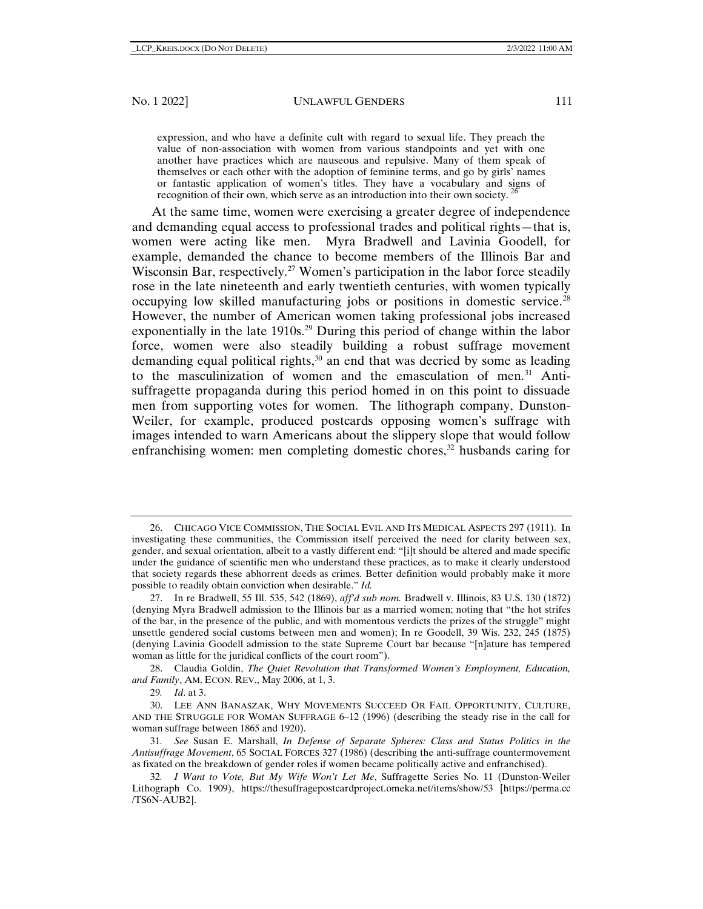expression, and who have a definite cult with regard to sexual life. They preach the value of non-association with women from various standpoints and yet with one another have practices which are nauseous and repulsive. Many of them speak of themselves or each other with the adoption of feminine terms, and go by girls' names or fantastic application of women's titles. They have a vocabulary and signs of recognition of their own, which serve as an introduction into their own society.

At the same time, women were exercising a greater degree of independence and demanding equal access to professional trades and political rights—that is, women were acting like men. Myra Bradwell and Lavinia Goodell, for example, demanded the chance to become members of the Illinois Bar and Wisconsin Bar, respectively.<sup>[27](#page-8-1)</sup> Women's participation in the labor force steadily rose in the late nineteenth and early twentieth centuries, with women typically occupying low skilled manufacturing jobs or positions in domestic service.[28](#page-8-2) However, the number of American women taking professional jobs increased exponentially in the late  $1910s<sup>29</sup>$  $1910s<sup>29</sup>$  $1910s<sup>29</sup>$  During this period of change within the labor force, women were also steadily building a robust suffrage movement demanding equal political rights, $30$  an end that was decried by some as leading to the masculinization of women and the emasculation of men. $31$  Antisuffragette propaganda during this period homed in on this point to dissuade men from supporting votes for women. The lithograph company, Dunston-Weiler, for example, produced postcards opposing women's suffrage with images intended to warn Americans about the slippery slope that would follow enfranchising women: men completing domestic chores, $32$  husbands caring for

<span id="page-8-2"></span>28. Claudia Goldin, *The Quiet Revolution that Transformed Women's Employment, Education, and Family*, AM. ECON. REV., May 2006, at 1, 3.

<span id="page-8-0"></span><sup>26.</sup> CHICAGO VICE COMMISSION, THE SOCIAL EVIL AND ITS MEDICAL ASPECTS 297 (1911). In investigating these communities, the Commission itself perceived the need for clarity between sex, gender, and sexual orientation, albeit to a vastly different end: "[i]t should be altered and made specific under the guidance of scientific men who understand these practices, as to make it clearly understood that society regards these abhorrent deeds as crimes. Better definition would probably make it more possible to readily obtain conviction when desirable." *Id.*

<span id="page-8-1"></span><sup>27.</sup> In re Bradwell, 55 Ill. 535, 542 (1869), *aff'd sub nom.* Bradwell v. Illinois, 83 U.S. 130 (1872) (denying Myra Bradwell admission to the Illinois bar as a married women; noting that "the hot strifes of the bar, in the presence of the public, and with momentous verdicts the prizes of the struggle" might unsettle gendered social customs between men and women); In re Goodell, 39 Wis. 232, 245 (1875) (denying Lavinia Goodell admission to the state Supreme Court bar because "[n]ature has tempered woman as little for the juridical conflicts of the court room").

<sup>29</sup>*. Id*. at 3.

<span id="page-8-4"></span><span id="page-8-3"></span><sup>30.</sup> LEE ANN BANASZAK, WHY MOVEMENTS SUCCEED OR FAIL OPPORTUNITY, CULTURE, AND THE STRUGGLE FOR WOMAN SUFFRAGE 6–12 (1996) (describing the steady rise in the call for woman suffrage between 1865 and 1920).

<span id="page-8-5"></span><sup>31</sup>*. See* Susan E. Marshall, *In Defense of Separate Spheres: Class and Status Politics in the Antisuffrage Movement*, 65 SOCIAL FORCES 327 (1986) (describing the anti-suffrage countermovement as fixated on the breakdown of gender roles if women became politically active and enfranchised).

<span id="page-8-6"></span><sup>32</sup>*. I Want to Vote, But My Wife Won't Let Me*, Suffragette Series No. 11 (Dunston-Weiler Lithograph Co. 1909), https://thesuffragepostcardproject.omeka.net/items/show/53 [https://perma.cc /TS6N-AUB2].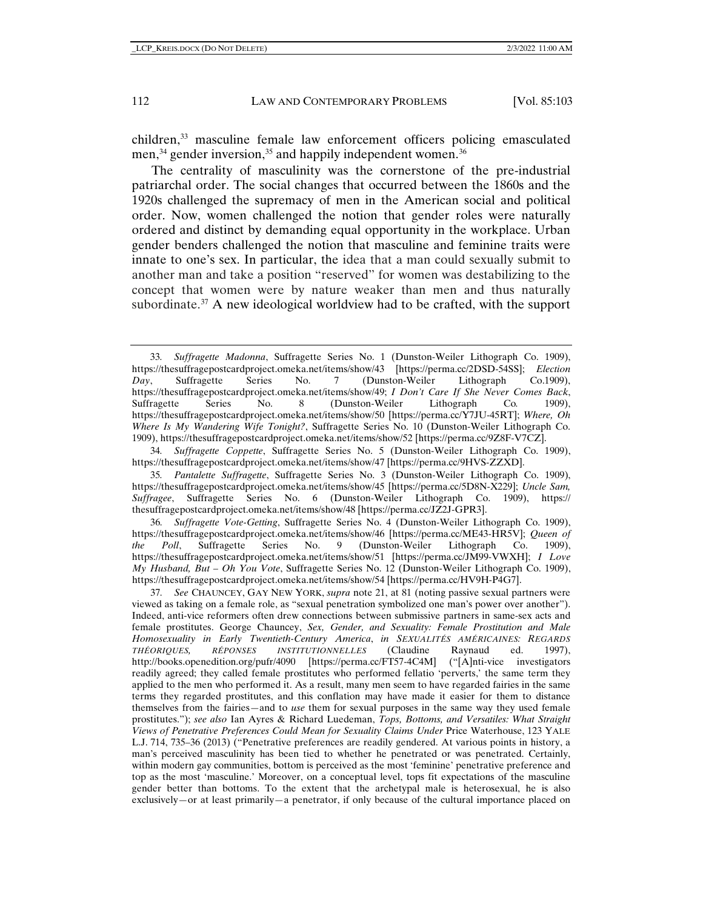children,<sup>[33](#page-9-0)</sup> masculine female law enforcement officers policing emasculated men,<sup>[34](#page-9-1)</sup> gender inversion,<sup>[35](#page-9-2)</sup> and happily independent women.<sup>[36](#page-9-3)</sup>

The centrality of masculinity was the cornerstone of the pre-industrial patriarchal order. The social changes that occurred between the 1860s and the 1920s challenged the supremacy of men in the American social and political order. Now, women challenged the notion that gender roles were naturally ordered and distinct by demanding equal opportunity in the workplace. Urban gender benders challenged the notion that masculine and feminine traits were innate to one's sex. In particular, the idea that a man could sexually submit to another man and take a position "reserved" for women was destabilizing to the concept that women were by nature weaker than men and thus naturally subordinate.<sup>[37](#page-9-4)</sup> A new ideological worldview had to be crafted, with the support

<span id="page-9-1"></span>34*. Suffragette Coppette*, Suffragette Series No. 5 (Dunston-Weiler Lithograph Co. 1909), https://thesuffragepostcardproject.omeka.net/items/show/47 [https://perma.cc/9HVS-ZZXD].

<span id="page-9-0"></span><sup>33</sup>*. Suffragette Madonna*, Suffragette Series No. 1 (Dunston-Weiler Lithograph Co. 1909), https://thesuffragepostcardproject.omeka.net/items/show/43 [https://perma.cc/2DSD-54SS]; *Election Day*, Suffragette Series No. 7 (Dunston-Weiler Lithograph Co.1909), https://thesuffragepostcardproject.omeka.net/items/show/49; *I Don't Care If She Never Comes Back*, Suffragette Series No. 8 (Dunston-Weiler Lithograph Co*.* 1909), https://thesuffragepostcardproject.omeka.net/items/show/50 [https://perma.cc/Y7JU-45RT]; *Where, Oh Where Is My Wandering Wife Tonight?*, Suffragette Series No. 10 (Dunston-Weiler Lithograph Co. 1909), https://thesuffragepostcardproject.omeka.net/items/show/52 [https://perma.cc/9Z8F-V7CZ].

<span id="page-9-2"></span><sup>35</sup>*. Pantalette Suffragette*, Suffragette Series No. 3 (Dunston-Weiler Lithograph Co. 1909), https://thesuffragepostcardproject.omeka.net/items/show/45 [https://perma.cc/5D8N-X229]; *Uncle Sam, Suffragee*, Suffragette Series No. 6 (Dunston-Weiler Lithograph Co. 1909), https:// thesuffragepostcardproject.omeka.net/items/show/48 [https://perma.cc/JZ2J-GPR3].

<span id="page-9-3"></span><sup>36</sup>*. Suffragette Vote-Getting*, Suffragette Series No. 4 (Dunston-Weiler Lithograph Co. 1909), https://thesuffragepostcardproject.omeka.net/items/show/46 [https://perma.cc/ME43-HR5V]; *Queen of the Poll*, Suffragette Series No. 9 (Dunston-Weiler Lithograph Co. 1909), https://thesuffragepostcardproject.omeka.net/items/show/51 [https://perma.cc/JM99-VWXH]; *I Love My Husband, But – Oh You Vote*, Suffragette Series No. 12 (Dunston-Weiler Lithograph Co. 1909), https://thesuffragepostcardproject.omeka.net/items/show/54 [https://perma.cc/HV9H-P4G7].

<span id="page-9-4"></span><sup>37</sup>*. See* CHAUNCEY, GAY NEW YORK, *supra* note [21,](#page-7-0) at 81 (noting passive sexual partners were viewed as taking on a female role, as "sexual penetration symbolized one man's power over another"). Indeed, anti-vice reformers often drew connections between submissive partners in same-sex acts and female prostitutes. George Chauncey, *Sex, Gender, and Sexuality: Female Prostitution and Male Homosexuality in Early Twentieth-Century America*, *in SEXUALITÉS AMÉRICAINES: REGARDS THÉORIQUES, RÉPONSES INSTITUTIONNELLES* (Claudine Raynaud ed. 1997), http://books.openedition.org/pufr/4090 [https://perma.cc/FT57-4C4M] ("[A]nti-vice investigators readily agreed; they called female prostitutes who performed fellatio 'perverts,' the same term they applied to the men who performed it. As a result, many men seem to have regarded fairies in the same terms they regarded prostitutes, and this conflation may have made it easier for them to distance themselves from the fairies—and to *use* them for sexual purposes in the same way they used female prostitutes."); *see also* Ian Ayres & Richard Luedeman, *Tops, Bottoms, and Versatiles: What Straight Views of Penetrative Preferences Could Mean for Sexuality Claims Under* Price Waterhouse, 123 YALE L.J. 714, 735–36 (2013) ("Penetrative preferences are readily gendered. At various points in history, a man's perceived masculinity has been tied to whether he penetrated or was penetrated. Certainly, within modern gay communities, bottom is perceived as the most 'feminine' penetrative preference and top as the most 'masculine.' Moreover, on a conceptual level, tops fit expectations of the masculine gender better than bottoms. To the extent that the archetypal male is heterosexual, he is also exclusively—or at least primarily—a penetrator, if only because of the cultural importance placed on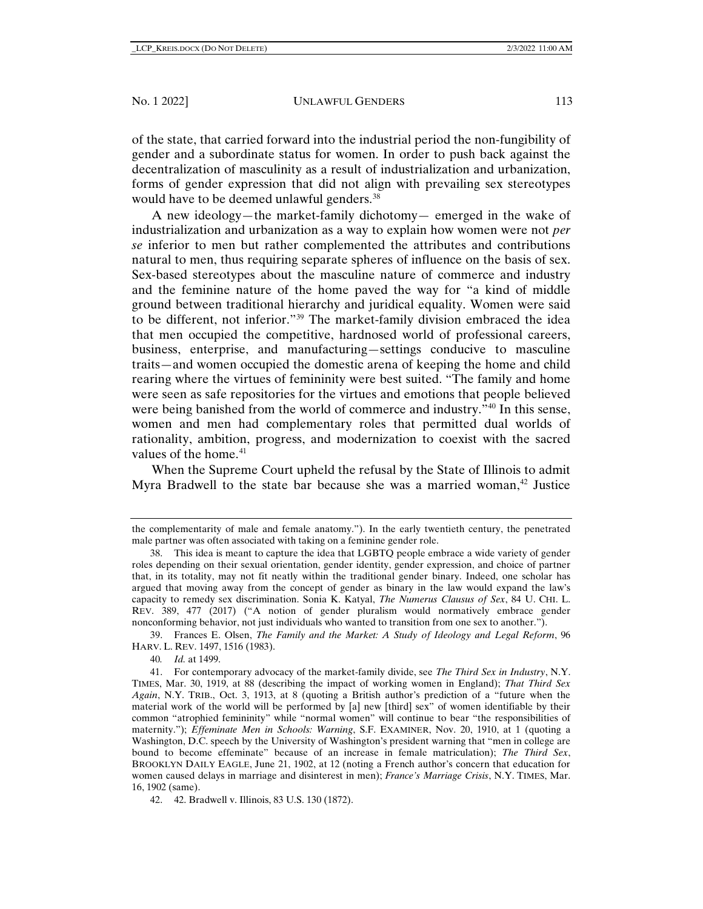of the state, that carried forward into the industrial period the non-fungibility of gender and a subordinate status for women. In order to push back against the decentralization of masculinity as a result of industrialization and urbanization, forms of gender expression that did not align with prevailing sex stereotypes would have to be deemed unlawful genders.<sup>[38](#page-10-0)</sup>

A new ideology—the market-family dichotomy— emerged in the wake of industrialization and urbanization as a way to explain how women were not *per se* inferior to men but rather complemented the attributes and contributions natural to men, thus requiring separate spheres of influence on the basis of sex. Sex-based stereotypes about the masculine nature of commerce and industry and the feminine nature of the home paved the way for "a kind of middle ground between traditional hierarchy and juridical equality. Women were said to be different, not inferior.["39](#page-10-1) The market-family division embraced the idea that men occupied the competitive, hardnosed world of professional careers, business, enterprise, and manufacturing—settings conducive to masculine traits—and women occupied the domestic arena of keeping the home and child rearing where the virtues of femininity were best suited. "The family and home were seen as safe repositories for the virtues and emotions that people believed were being banished from the world of commerce and industry.["40](#page-10-2) In this sense, women and men had complementary roles that permitted dual worlds of rationality, ambition, progress, and modernization to coexist with the sacred values of the home.<sup>[41](#page-10-3)</sup>

When the Supreme Court upheld the refusal by the State of Illinois to admit Myra Bradwell to the state bar because she was a married woman, $42$  Justice

the complementarity of male and female anatomy."). In the early twentieth century, the penetrated male partner was often associated with taking on a feminine gender role.

<span id="page-10-0"></span><sup>38.</sup> This idea is meant to capture the idea that LGBTQ people embrace a wide variety of gender roles depending on their sexual orientation, gender identity, gender expression, and choice of partner that, in its totality, may not fit neatly within the traditional gender binary. Indeed, one scholar has argued that moving away from the concept of gender as binary in the law would expand the law's capacity to remedy sex discrimination. Sonia K. Katyal, *The Numerus Clausus of Sex*, 84 U. CHI. L. REV. 389, 477 (2017) ("A notion of gender pluralism would normatively embrace gender nonconforming behavior, not just individuals who wanted to transition from one sex to another.").

<span id="page-10-1"></span><sup>39.</sup> Frances E. Olsen, *The Family and the Market: A Study of Ideology and Legal Reform*, 96 HARV. L. REV. 1497, 1516 (1983).

<sup>40</sup>*. Id.* at 1499.

<span id="page-10-3"></span><span id="page-10-2"></span><sup>41.</sup> For contemporary advocacy of the market-family divide, see *The Third Sex in Industry*, N.Y. TIMES, Mar. 30, 1919, at 88 (describing the impact of working women in England); *That Third Sex Again*, N.Y. TRIB., Oct. 3, 1913, at 8 (quoting a British author's prediction of a "future when the material work of the world will be performed by [a] new [third] sex" of women identifiable by their common "atrophied femininity" while "normal women" will continue to bear "the responsibilities of maternity."); *Effeminate Men in Schools: Warning*, S.F. EXAMINER, Nov. 20, 1910, at 1 (quoting a Washington, D.C. speech by the University of Washington's president warning that "men in college are bound to become effeminate" because of an increase in female matriculation); *The Third Sex*, BROOKLYN DAILY EAGLE, June 21, 1902, at 12 (noting a French author's concern that education for women caused delays in marriage and disinterest in men); *France's Marriage Crisis*, N.Y. TIMES, Mar. 16, 1902 (same).

<span id="page-10-4"></span><sup>42.</sup> 42. Bradwell v. Illinois, 83 U.S. 130 (1872).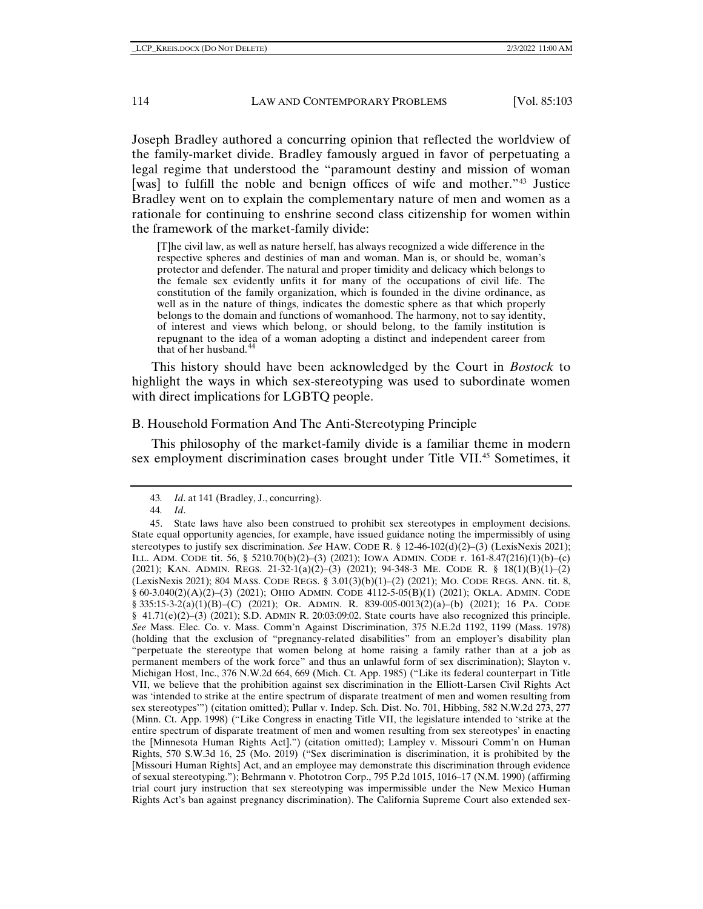Joseph Bradley authored a concurring opinion that reflected the worldview of the family-market divide. Bradley famously argued in favor of perpetuating a legal regime that understood the "paramount destiny and mission of woman [was] to fulfill the noble and benign offices of wife and mother."[43](#page-11-0) Justice Bradley went on to explain the complementary nature of men and women as a rationale for continuing to enshrine second class citizenship for women within the framework of the market-family divide:

[T]he civil law, as well as nature herself, has always recognized a wide difference in the respective spheres and destinies of man and woman. Man is, or should be, woman's protector and defender. The natural and proper timidity and delicacy which belongs to the female sex evidently unfits it for many of the occupations of civil life. The constitution of the family organization, which is founded in the divine ordinance, as well as in the nature of things, indicates the domestic sphere as that which properly belongs to the domain and functions of womanhood. The harmony, not to say identity, of interest and views which belong, or should belong, to the family institution is repugnant to the idea of a woman adopting a distinct and independent career from that of her husband.<sup>[44](#page-11-1)</sup>

This history should have been acknowledged by the Court in *Bostock* to highlight the ways in which sex-stereotyping was used to subordinate women with direct implications for LGBTQ people.

# B. Household Formation And The Anti-Stereotyping Principle

This philosophy of the market-family divide is a familiar theme in modern sex employment discrimination cases brought under Title VII.<sup>45</sup> Sometimes, it

<sup>43</sup>*. Id*. at 141 (Bradley, J., concurring).

<sup>44</sup>*. Id*.

<span id="page-11-2"></span><span id="page-11-1"></span><span id="page-11-0"></span><sup>45.</sup> State laws have also been construed to prohibit sex stereotypes in employment decisions. State equal opportunity agencies, for example, have issued guidance noting the impermissibly of using stereotypes to justify sex discrimination. *See* HAW. CODE R. § 12-46-102(d)(2)–(3) (LexisNexis 2021); ILL. ADM. CODE tit. 56, § 5210.70(b)(2)–(3) (2021); IOWA ADMIN. CODE r. 161-8.47(216)(1)(b)–(c) (2021); KAN. ADMIN. REGS. 21-32-1(a)(2)–(3) (2021); 94-348-3 ME. CODE R. § 18(1)(B)(1)–(2) (LexisNexis 2021); 804 MASS. CODE REGS. § 3.01(3)(b)(1)–(2) (2021); MO. CODE REGS. ANN. tit. 8, § 60-3.040(2)(A)(2)–(3) (2021); OHIO ADMIN. CODE 4112-5-05(B)(1) (2021); OKLA. ADMIN. CODE § 335:15-3-2(a)(1)(B)–(C) (2021); OR. ADMIN. R. 839-005-0013(2)(a)–(b) (2021); 16 PA. CODE  $§$  41.71(e)(2)–(3) (2021); S.D. ADMIN R. 20:03:09:02. State courts have also recognized this principle. *See* Mass. Elec. Co. v. Mass. Comm'n Against Discrimination, 375 N.E.2d 1192, 1199 (Mass. 1978) (holding that the exclusion of "pregnancy-related disabilities" from an employer's disability plan "perpetuate the stereotype that women belong at home raising a family rather than at a job as permanent members of the work force" and thus an unlawful form of sex discrimination); Slayton v. Michigan Host, Inc., 376 N.W.2d 664, 669 (Mich. Ct. App. 1985) ("Like its federal counterpart in Title VII, we believe that the prohibition against sex discrimination in the Elliott-Larsen Civil Rights Act was 'intended to strike at the entire spectrum of disparate treatment of men and women resulting from sex stereotypes'") (citation omitted); Pullar v. Indep. Sch. Dist. No. 701, Hibbing, 582 N.W.2d 273, 277 (Minn. Ct. App. 1998) ("Like Congress in enacting Title VII, the legislature intended to 'strike at the entire spectrum of disparate treatment of men and women resulting from sex stereotypes' in enacting the [Minnesota Human Rights Act].") (citation omitted); Lampley v. Missouri Comm'n on Human Rights, 570 S.W.3d 16, 25 (Mo. 2019) ("Sex discrimination is discrimination, it is prohibited by the [Missouri Human Rights] Act, and an employee may demonstrate this discrimination through evidence of sexual stereotyping."); Behrmann v. Phototron Corp., 795 P.2d 1015, 1016–17 (N.M. 1990) (affirming trial court jury instruction that sex stereotyping was impermissible under the New Mexico Human Rights Act's ban against pregnancy discrimination). The California Supreme Court also extended sex-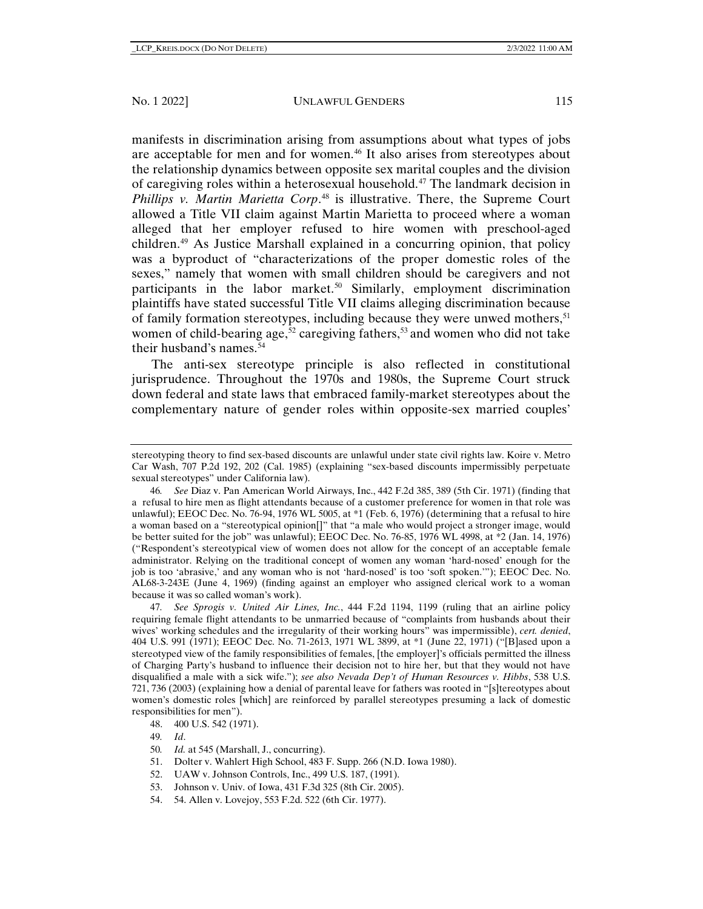manifests in discrimination arising from assumptions about what types of jobs are acceptable for men and for women.<sup>[46](#page-12-0)</sup> It also arises from stereotypes about the relationship dynamics between opposite sex marital couples and the division of caregiving roles within a heterosexual household.[47](#page-12-1) The landmark decision in *Phillips v. Martin Marietta Corp*. [48](#page-12-2) is illustrative. There, the Supreme Court allowed a Title VII claim against Martin Marietta to proceed where a woman alleged that her employer refused to hire women with preschool-aged children.[49](#page-12-3) As Justice Marshall explained in a concurring opinion, that policy was a byproduct of "characterizations of the proper domestic roles of the sexes," namely that women with small children should be caregivers and not participants in the labor market.<sup>50</sup> Similarly, employment discrimination plaintiffs have stated successful Title VII claims alleging discrimination because of family formation stereotypes, including because they were unwed mothers,  $51$ women of child-bearing age,<sup>[52](#page-12-6)</sup> caregiving fathers,<sup>[53](#page-12-7)</sup> and women who did not take their husband's names.<sup>[54](#page-12-8)</sup>

The anti-sex stereotype principle is also reflected in constitutional jurisprudence. Throughout the 1970s and 1980s, the Supreme Court struck down federal and state laws that embraced family-market stereotypes about the complementary nature of gender roles within opposite-sex married couples'

<span id="page-12-0"></span>46*. See* Diaz v. Pan American World Airways, Inc., 442 F.2d 385, 389 (5th Cir. 1971) (finding that a refusal to hire men as flight attendants because of a customer preference for women in that role was unlawful); EEOC Dec. No. 76-94, 1976 WL 5005, at \*1 (Feb. 6, 1976) (determining that a refusal to hire a woman based on a "stereotypical opinion[]" that "a male who would project a stronger image, would be better suited for the job" was unlawful); EEOC Dec. No. 76-85, 1976 WL 4998, at \*2 (Jan. 14, 1976) ("Respondent's stereotypical view of women does not allow for the concept of an acceptable female administrator. Relying on the traditional concept of women any woman 'hard-nosed' enough for the job is too 'abrasive,' and any woman who is not 'hard-nosed' is too 'soft spoken.'"); EEOC Dec. No. AL68-3-243E (June 4, 1969) (finding against an employer who assigned clerical work to a woman because it was so called woman's work).

<span id="page-12-1"></span>47*. See Sprogis v. United Air Lines, Inc.*, 444 F.2d 1194, 1199 (ruling that an airline policy requiring female flight attendants to be unmarried because of "complaints from husbands about their wives' working schedules and the irregularity of their working hours" was impermissible), *cert. denied*, 404 U.S. 991 (1971); EEOC Dec. No. 71-2613, 1971 WL 3899, at \*1 (June 22, 1971) ("[B]ased upon a stereotyped view of the family responsibilities of females, [the employer]'s officials permitted the illness of Charging Party's husband to influence their decision not to hire her, but that they would not have disqualified a male with a sick wife."); *see also Nevada Dep't of Human Resources v. Hibbs*, 538 U.S. 721, 736 (2003) (explaining how a denial of parental leave for fathers was rooted in "[s]tereotypes about women's domestic roles [which] are reinforced by parallel stereotypes presuming a lack of domestic responsibilities for men").

51. Dolter v. Wahlert High School, 483 F. Supp. 266 (N.D. Iowa 1980).

- <span id="page-12-8"></span><span id="page-12-7"></span>53. Johnson v. Univ. of Iowa, 431 F.3d 325 (8th Cir. 2005).
- 54. 54. Allen v. Lovejoy, 553 F.2d. 522 (6th Cir. 1977).

stereotyping theory to find sex-based discounts are unlawful under state civil rights law. Koire v. Metro Car Wash, 707 P.2d 192, 202 (Cal. 1985) (explaining "sex-based discounts impermissibly perpetuate sexual stereotypes" under California law).

<span id="page-12-2"></span><sup>48.</sup> 400 U.S. 542 (1971).

<span id="page-12-3"></span><sup>49</sup>*. Id*.

<span id="page-12-5"></span><span id="page-12-4"></span><sup>50</sup>*. Id.* at 545 (Marshall, J., concurring).

<span id="page-12-6"></span><sup>52.</sup> UAW v. Johnson Controls, Inc., 499 U.S. 187, (1991).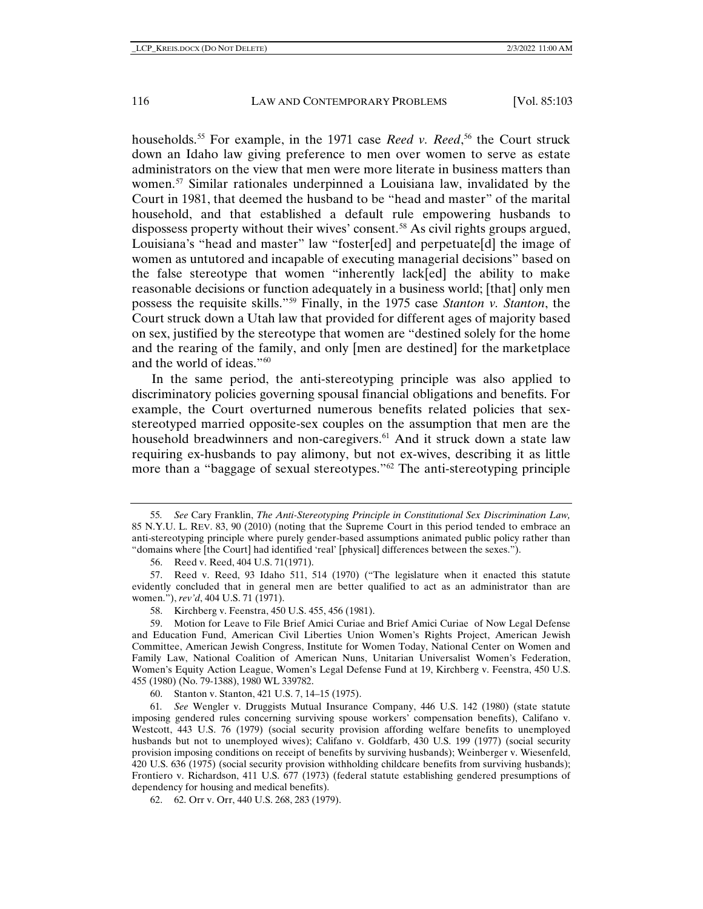households.[55](#page-13-0) For example, in the 1971 case *Reed v. Reed*, [56](#page-13-1) the Court struck down an Idaho law giving preference to men over women to serve as estate administrators on the view that men were more literate in business matters than women.[57](#page-13-2) Similar rationales underpinned a Louisiana law, invalidated by the Court in 1981, that deemed the husband to be "head and master" of the marital household, and that established a default rule empowering husbands to dispossess property without their wives' consent.<sup>[58](#page-13-3)</sup> As civil rights groups argued, Louisiana's "head and master" law "foster[ed] and perpetuate[d] the image of women as untutored and incapable of executing managerial decisions" based on the false stereotype that women "inherently lack[ed] the ability to make reasonable decisions or function adequately in a business world; [that] only men possess the requisite skills."[59](#page-13-4) Finally, in the 1975 case *Stanton v. Stanton*, the Court struck down a Utah law that provided for different ages of majority based on sex, justified by the stereotype that women are "destined solely for the home and the rearing of the family, and only [men are destined] for the marketplace and the world of ideas."<sup>60</sup>

In the same period, the anti-stereotyping principle was also applied to discriminatory policies governing spousal financial obligations and benefits. For example, the Court overturned numerous benefits related policies that sexstereotyped married opposite-sex couples on the assumption that men are the household breadwinners and non-caregivers.<sup>[61](#page-13-6)</sup> And it struck down a state law requiring ex-husbands to pay alimony, but not ex-wives, describing it as little more than a "baggage of sexual stereotypes."<sup>[62](#page-13-7)</sup> The anti-stereotyping principle

60. Stanton v. Stanton, 421 U.S. 7, 14–15 (1975).

<span id="page-13-6"></span><span id="page-13-5"></span>61*. See* Wengler v. Druggists Mutual Insurance Company, 446 U.S. 142 (1980) (state statute imposing gendered rules concerning surviving spouse workers' compensation benefits), Califano v. Westcott, 443 U.S. 76 (1979) (social security provision affording welfare benefits to unemployed husbands but not to unemployed wives); Califano v. Goldfarb, 430 U.S. 199 (1977) (social security provision imposing conditions on receipt of benefits by surviving husbands); Weinberger v. Wiesenfeld, 420 U.S. 636 (1975) (social security provision withholding childcare benefits from surviving husbands); Frontiero v. Richardson, 411 U.S. 677 (1973) (federal statute establishing gendered presumptions of dependency for housing and medical benefits).

<span id="page-13-7"></span>62. 62. Orr v. Orr, 440 U.S. 268, 283 (1979).

<span id="page-13-0"></span><sup>55</sup>*. See* Cary Franklin, *The Anti-Stereotyping Principle in Constitutional Sex Discrimination Law,*  85 N.Y.U. L. REV. 83, 90 (2010) (noting that the Supreme Court in this period tended to embrace an anti-stereotyping principle where purely gender-based assumptions animated public policy rather than "domains where [the Court] had identified 'real' [physical] differences between the sexes.").

<sup>56.</sup> Reed v. Reed, 404 U.S. 71(1971).

<span id="page-13-2"></span><span id="page-13-1"></span><sup>57.</sup> Reed v. Reed, 93 Idaho 511, 514 (1970) ("The legislature when it enacted this statute evidently concluded that in general men are better qualified to act as an administrator than are women."), *rev'd*, 404 U.S. 71 (1971).

<sup>58.</sup> Kirchberg v. Feenstra, 450 U.S. 455, 456 (1981).

<span id="page-13-4"></span><span id="page-13-3"></span><sup>59.</sup> Motion for Leave to File Brief Amici Curiae and Brief Amici Curiae of Now Legal Defense and Education Fund, American Civil Liberties Union Women's Rights Project, American Jewish Committee, American Jewish Congress, Institute for Women Today, National Center on Women and Family Law, National Coalition of American Nuns, Unitarian Universalist Women's Federation, Women's Equity Action League, Women's Legal Defense Fund at 19, Kirchberg v. Feenstra, 450 U.S. 455 (1980) (No. 79-1388), 1980 WL 339782.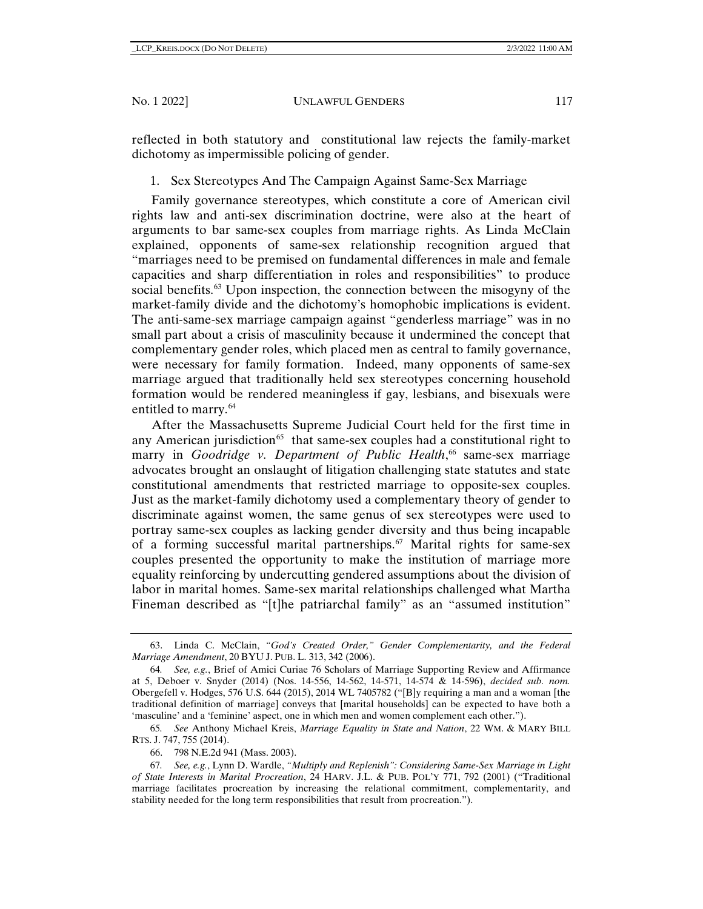reflected in both statutory and constitutional law rejects the family-market dichotomy as impermissible policing of gender.

1. Sex Stereotypes And The Campaign Against Same-Sex Marriage

Family governance stereotypes, which constitute a core of American civil rights law and anti-sex discrimination doctrine, were also at the heart of arguments to bar same-sex couples from marriage rights. As Linda McClain explained, opponents of same-sex relationship recognition argued that "marriages need to be premised on fundamental differences in male and female capacities and sharp differentiation in roles and responsibilities" to produce social benefits[.63](#page-14-0) Upon inspection, the connection between the misogyny of the market-family divide and the dichotomy's homophobic implications is evident. The anti-same-sex marriage campaign against "genderless marriage" was in no small part about a crisis of masculinity because it undermined the concept that complementary gender roles, which placed men as central to family governance, were necessary for family formation. Indeed, many opponents of same-sex marriage argued that traditionally held sex stereotypes concerning household formation would be rendered meaningless if gay, lesbians, and bisexuals were entitled to marry.<sup>[64](#page-14-1)</sup>

After the Massachusetts Supreme Judicial Court held for the first time in any American jurisdiction<sup> $65$ </sup> that same-sex couples had a constitutional right to marry in *Goodridge v. Department of Public Health*, [66](#page-14-3) same-sex marriage advocates brought an onslaught of litigation challenging state statutes and state constitutional amendments that restricted marriage to opposite-sex couples. Just as the market-family dichotomy used a complementary theory of gender to discriminate against women, the same genus of sex stereotypes were used to portray same-sex couples as lacking gender diversity and thus being incapable of a forming successful marital partnerships.[67](#page-14-4) Marital rights for same-sex couples presented the opportunity to make the institution of marriage more equality reinforcing by undercutting gendered assumptions about the division of labor in marital homes. Same-sex marital relationships challenged what Martha Fineman described as "[t]he patriarchal family" as an "assumed institution"

66. 798 N.E.2d 941 (Mass. 2003).

<span id="page-14-0"></span><sup>63.</sup> Linda C. McClain, *"God's Created Order," Gender Complementarity, and the Federal Marriage Amendment*, 20 BYU J. PUB. L. 313, 342 (2006).

<span id="page-14-1"></span><sup>64</sup>*. See, e.g.*, Brief of Amici Curiae 76 Scholars of Marriage Supporting Review and Affirmance at 5, Deboer v. Snyder (2014) (Nos. 14-556, 14-562, 14-571, 14-574 & 14-596), *decided sub. nom.* Obergefell v. Hodges, 576 U.S. 644 (2015), 2014 WL 7405782 ("[B]y requiring a man and a woman [the traditional definition of marriage] conveys that [marital households] can be expected to have both a 'masculine' and a 'feminine' aspect, one in which men and women complement each other.").

<span id="page-14-2"></span><sup>65</sup>*. See* Anthony Michael Kreis, *Marriage Equality in State and Nation*, 22 WM. & MARY BILL RTS. J. 747, 755 (2014).

<span id="page-14-4"></span><span id="page-14-3"></span><sup>67</sup>*. See, e.g.*, Lynn D. Wardle, *"Multiply and Replenish": Considering Same-Sex Marriage in Light of State Interests in Marital Procreation*, 24 HARV. J.L. & PUB. POL'Y 771, 792 (2001) ("Traditional marriage facilitates procreation by increasing the relational commitment, complementarity, and stability needed for the long term responsibilities that result from procreation.").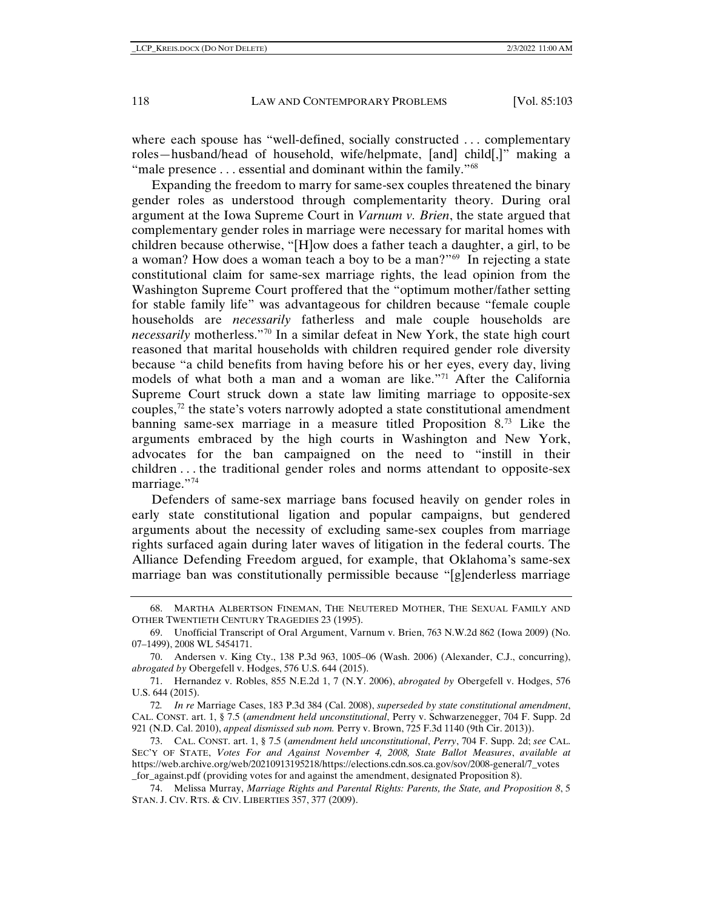where each spouse has "well-defined, socially constructed . . . complementary roles—husband/head of household, wife/helpmate, [and] child[,]" making a "male presence ... essential and dominant within the family."<sup>[68](#page-15-0)</sup>

Expanding the freedom to marry for same-sex couples threatened the binary gender roles as understood through complementarity theory. During oral argument at the Iowa Supreme Court in *Varnum v. Brien*, the state argued that complementary gender roles in marriage were necessary for marital homes with children because otherwise, "[H]ow does a father teach a daughter, a girl, to be a woman? How does a woman teach a boy to be a man?"[69](#page-15-1) In rejecting a state constitutional claim for same-sex marriage rights, the lead opinion from the Washington Supreme Court proffered that the "optimum mother/father setting for stable family life" was advantageous for children because "female couple households are *necessarily* fatherless and male couple households are *necessarily* motherless."[70](#page-15-2) In a similar defeat in New York, the state high court reasoned that marital households with children required gender role diversity because "a child benefits from having before his or her eyes, every day, living models of what both a man and a woman are like. $\frac{1}{1}$  After the California Supreme Court struck down a state law limiting marriage to opposite-sex couples, $72$  the state's voters narrowly adopted a state constitutional amendment banning same-sex marriage in a measure titled Proposition 8[.73](#page-15-5) Like the arguments embraced by the high courts in Washington and New York, advocates for the ban campaigned on the need to "instill in their children . . . the traditional gender roles and norms attendant to opposite-sex marriage."[74](#page-15-6)

Defenders of same-sex marriage bans focused heavily on gender roles in early state constitutional ligation and popular campaigns, but gendered arguments about the necessity of excluding same-sex couples from marriage rights surfaced again during later waves of litigation in the federal courts. The Alliance Defending Freedom argued, for example, that Oklahoma's same-sex marriage ban was constitutionally permissible because "[g]enderless marriage

<span id="page-15-0"></span><sup>68.</sup> MARTHA ALBERTSON FINEMAN, THE NEUTERED MOTHER, THE SEXUAL FAMILY AND OTHER TWENTIETH CENTURY TRAGEDIES 23 (1995).

<span id="page-15-1"></span><sup>69.</sup> Unofficial Transcript of Oral Argument, Varnum v. Brien, 763 N.W.2d 862 (Iowa 2009) (No. 07–1499), 2008 WL 5454171.

<span id="page-15-2"></span><sup>70.</sup> Andersen v. King Cty., 138 P.3d 963, 1005–06 (Wash. 2006) (Alexander, C.J., concurring), *abrogated by* Obergefell v. Hodges, 576 U.S. 644 (2015).

<span id="page-15-3"></span><sup>71.</sup> Hernandez v. Robles, 855 N.E.2d 1, 7 (N.Y. 2006), *abrogated by* Obergefell v. Hodges, 576 U.S. 644 (2015).

<span id="page-15-4"></span><sup>72</sup>*. In re* Marriage Cases, 183 P.3d 384 (Cal. 2008), *superseded by state constitutional amendment*, CAL. CONST. art. 1, § 7.5 (*amendment held unconstitutional*, Perry v. Schwarzenegger, 704 F. Supp. 2d 921 (N.D. Cal. 2010), *appeal dismissed sub nom.* Perry v. Brown, 725 F.3d 1140 (9th Cir. 2013)).

<span id="page-15-5"></span><sup>73.</sup> CAL. CONST. art. 1, § 7.5 (*amendment held unconstitutional*, *Perry*, 704 F. Supp. 2d; *see* CAL. SEC'Y OF STATE, *Votes For and Against November 4, 2008, State Ballot Measures*, *available at*  https://web.archive.org/web/20210913195218/https://elections.cdn.sos.ca.gov/sov/2008-general/7\_votes \_for\_against.pdf (providing votes for and against the amendment, designated Proposition 8).

<span id="page-15-6"></span><sup>74.</sup> Melissa Murray, *Marriage Rights and Parental Rights: Parents, the State, and Proposition 8*, 5 STAN. J. CIV. RTS. & CIV. LIBERTIES 357, 377 (2009).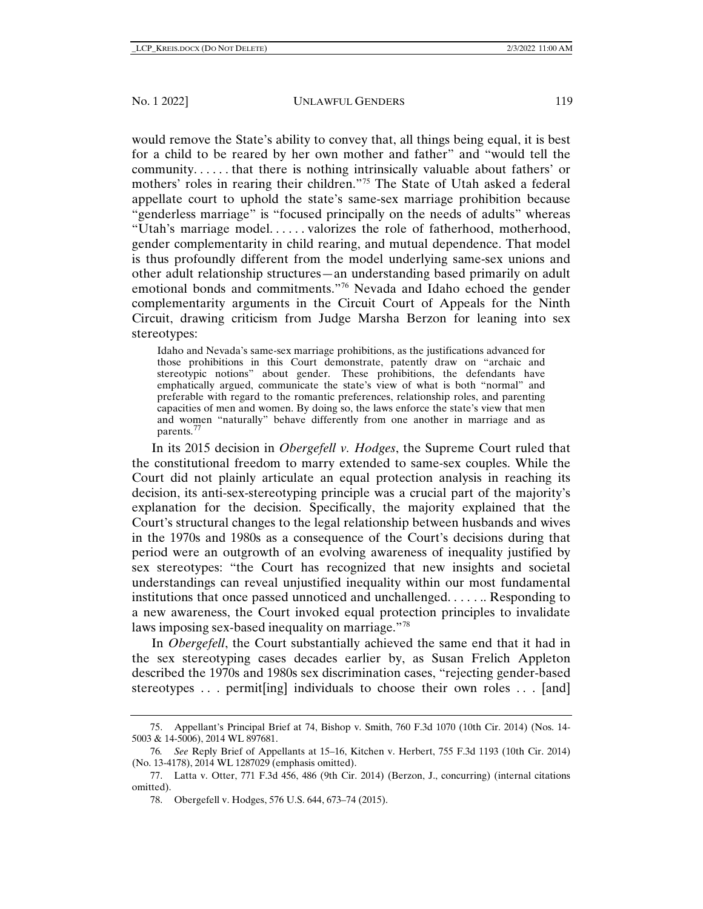would remove the State's ability to convey that, all things being equal, it is best for a child to be reared by her own mother and father" and "would tell the community. . . . . . that there is nothing intrinsically valuable about fathers' or mothers' roles in rearing their children."[75](#page-16-0) The State of Utah asked a federal appellate court to uphold the state's same-sex marriage prohibition because "genderless marriage" is "focused principally on the needs of adults" whereas "Utah's marriage model. . . . . . valorizes the role of fatherhood, motherhood, gender complementarity in child rearing, and mutual dependence. That model is thus profoundly different from the model underlying same-sex unions and other adult relationship structures—an understanding based primarily on adult emotional bonds and commitments."[76](#page-16-1) Nevada and Idaho echoed the gender complementarity arguments in the Circuit Court of Appeals for the Ninth Circuit, drawing criticism from Judge Marsha Berzon for leaning into sex stereotypes:

Idaho and Nevada's same-sex marriage prohibitions, as the justifications advanced for those prohibitions in this Court demonstrate, patently draw on "archaic and stereotypic notions" about gender. These prohibitions, the defendants have emphatically argued, communicate the state's view of what is both "normal" and preferable with regard to the romantic preferences, relationship roles, and parenting capacities of men and women. By doing so, the laws enforce the state's view that men and women "naturally" behave differently from one another in marriage and as parents.[77](#page-16-2)

In its 2015 decision in *Obergefell v. Hodges*, the Supreme Court ruled that the constitutional freedom to marry extended to same-sex couples. While the Court did not plainly articulate an equal protection analysis in reaching its decision, its anti-sex-stereotyping principle was a crucial part of the majority's explanation for the decision. Specifically, the majority explained that the Court's structural changes to the legal relationship between husbands and wives in the 1970s and 1980s as a consequence of the Court's decisions during that period were an outgrowth of an evolving awareness of inequality justified by sex stereotypes: "the Court has recognized that new insights and societal understandings can reveal unjustified inequality within our most fundamental institutions that once passed unnoticed and unchallenged. . . . . .. Responding to a new awareness, the Court invoked equal protection principles to invalidate laws imposing sex-based inequality on marriage."[78](#page-16-3)

In *Obergefell*, the Court substantially achieved the same end that it had in the sex stereotyping cases decades earlier by, as Susan Frelich Appleton described the 1970s and 1980s sex discrimination cases, "rejecting gender-based stereotypes . . . permit[ing] individuals to choose their own roles . . . [and]

<span id="page-16-0"></span><sup>75.</sup> Appellant's Principal Brief at 74, Bishop v. Smith, 760 F.3d 1070 (10th Cir. 2014) (Nos. 14- 5003 & 14-5006), 2014 WL 897681.

<span id="page-16-1"></span><sup>76</sup>*. See* Reply Brief of Appellants at 15–16, Kitchen v. Herbert, 755 F.3d 1193 (10th Cir. 2014) (No. 13-4178), 2014 WL 1287029 (emphasis omitted).

<span id="page-16-3"></span><span id="page-16-2"></span><sup>77.</sup> Latta v. Otter, 771 F.3d 456, 486 (9th Cir. 2014) (Berzon, J., concurring) (internal citations omitted).

<sup>78.</sup> Obergefell v. Hodges, 576 U.S. 644, 673–74 (2015).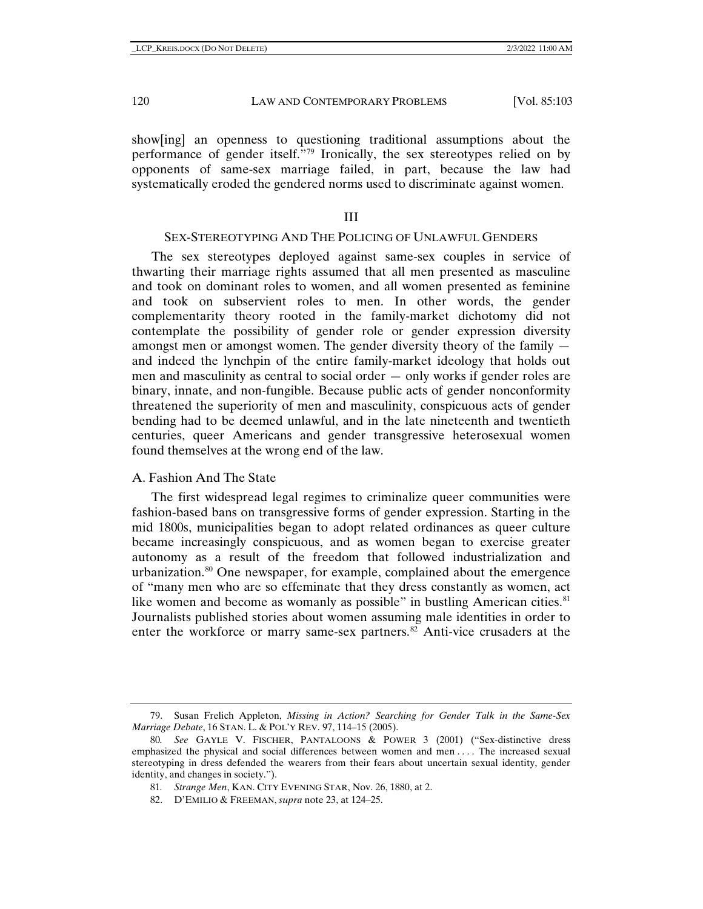show[ing] an openness to questioning traditional assumptions about the performance of gender itself.<sup>7[79](#page-17-0)</sup> Ironically, the sex stereotypes relied on by opponents of same-sex marriage failed, in part, because the law had systematically eroded the gendered norms used to discriminate against women.

## III

#### SEX-STEREOTYPING AND THE POLICING OF UNLAWFUL GENDERS

The sex stereotypes deployed against same-sex couples in service of thwarting their marriage rights assumed that all men presented as masculine and took on dominant roles to women, and all women presented as feminine and took on subservient roles to men. In other words, the gender complementarity theory rooted in the family-market dichotomy did not contemplate the possibility of gender role or gender expression diversity amongst men or amongst women. The gender diversity theory of the family and indeed the lynchpin of the entire family-market ideology that holds out men and masculinity as central to social order — only works if gender roles are binary, innate, and non-fungible. Because public acts of gender nonconformity threatened the superiority of men and masculinity, conspicuous acts of gender bending had to be deemed unlawful, and in the late nineteenth and twentieth centuries, queer Americans and gender transgressive heterosexual women found themselves at the wrong end of the law.

## A. Fashion And The State

The first widespread legal regimes to criminalize queer communities were fashion-based bans on transgressive forms of gender expression. Starting in the mid 1800s, municipalities began to adopt related ordinances as queer culture became increasingly conspicuous, and as women began to exercise greater autonomy as a result of the freedom that followed industrialization and urbanization.[80](#page-17-1) One newspaper, for example, complained about the emergence of "many men who are so effeminate that they dress constantly as women, act like women and become as womanly as possible" in bustling American cities.<sup>81</sup> Journalists published stories about women assuming male identities in order to enter the workforce or marry same-sex partners. $82$  Anti-vice crusaders at the

<span id="page-17-0"></span><sup>79.</sup> Susan Frelich Appleton, *Missing in Action? Searching for Gender Talk in the Same-Sex Marriage Debate*, 16 STAN. L. & POL'Y REV. 97, 114–15 (2005).

<span id="page-17-3"></span><span id="page-17-2"></span><span id="page-17-1"></span><sup>80</sup>*. See* GAYLE V. FISCHER, PANTALOONS & POWER 3 (2001) ("Sex-distinctive dress emphasized the physical and social differences between women and men . . . . The increased sexual stereotyping in dress defended the wearers from their fears about uncertain sexual identity, gender identity, and changes in society.").

<sup>81</sup>*. Strange Men*, KAN. CITY EVENING STAR, Nov. 26, 1880, at 2.

<sup>82.</sup> D'EMILIO & FREEMAN, *supra* note [23,](#page-7-7) at 124–25.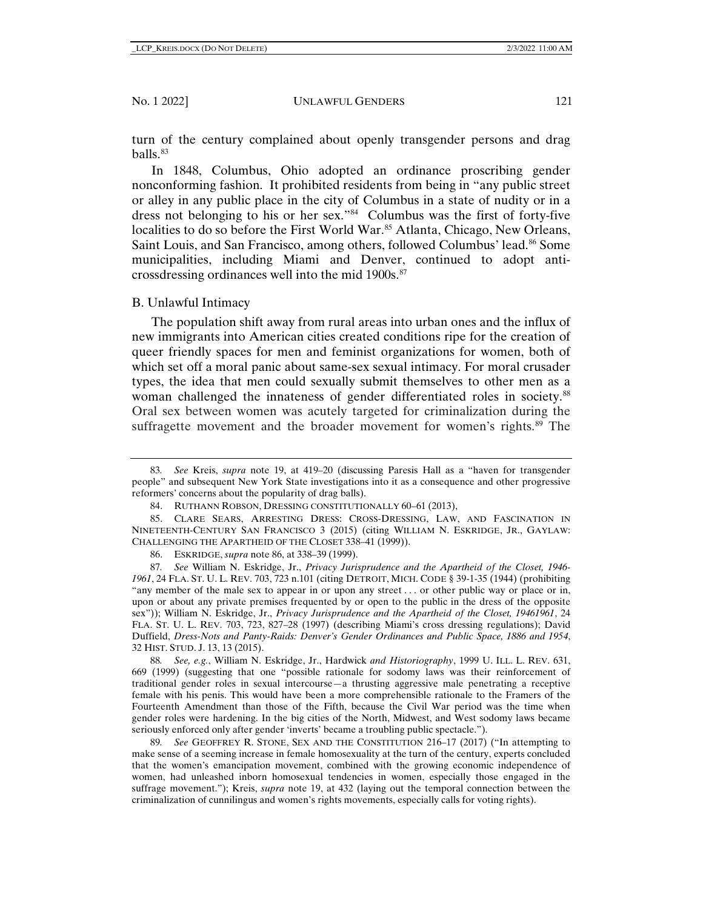turn of the century complained about openly transgender persons and drag balls.[83](#page-18-0)

In 1848, Columbus, Ohio adopted an ordinance proscribing gender nonconforming fashion. It prohibited residents from being in "any public street or alley in any public place in the city of Columbus in a state of nudity or in a dress not belonging to his or her sex."[84](#page-18-1) Columbus was the first of forty-five localities to do so before the First World War.<sup>[85](#page-18-2)</sup> Atlanta, Chicago, New Orleans, Saint Louis, and San Francisco, among others, followed Columbus' lead.[86](#page-18-3) Some municipalities, including Miami and Denver, continued to adopt anticrossdressing ordinances well into the mid 1900s.[87](#page-18-4)

#### B. Unlawful Intimacy

The population shift away from rural areas into urban ones and the influx of new immigrants into American cities created conditions ripe for the creation of queer friendly spaces for men and feminist organizations for women, both of which set off a moral panic about same-sex sexual intimacy. For moral crusader types, the idea that men could sexually submit themselves to other men as a woman challenged the innateness of gender differentiated roles in society.<sup>88</sup> Oral sex between women was acutely targeted for criminalization during the suffragette movement and the broader movement for women's rights.<sup>[89](#page-18-6)</sup> The

<span id="page-18-5"></span>88*. See, e.g.*, William N. Eskridge, Jr., Hardwick *and Historiography*, 1999 U. ILL. L. REV. 631, 669 (1999) (suggesting that one "possible rationale for sodomy laws was their reinforcement of traditional gender roles in sexual intercourse—a thrusting aggressive male penetrating a receptive female with his penis. This would have been a more comprehensible rationale to the Framers of the Fourteenth Amendment than those of the Fifth, because the Civil War period was the time when gender roles were hardening. In the big cities of the North, Midwest, and West sodomy laws became seriously enforced only after gender 'inverts' became a troubling public spectacle.").

<span id="page-18-6"></span>89*. See* GEOFFREY R. STONE, SEX AND THE CONSTITUTION 216–17 (2017) ("In attempting to make sense of a seeming increase in female homosexuality at the turn of the century, experts concluded that the women's emancipation movement, combined with the growing economic independence of women, had unleashed inborn homosexual tendencies in women, especially those engaged in the suffrage movement."); Kreis, *supra* note [19,](#page-6-4) at 432 (laying out the temporal connection between the criminalization of cunnilingus and women's rights movements, especially calls for voting rights).

<span id="page-18-0"></span><sup>83</sup>*. See* Kreis, *supra* note [19,](#page-6-4) at 419–20 (discussing Paresis Hall as a "haven for transgender people" and subsequent New York State investigations into it as a consequence and other progressive reformers' concerns about the popularity of drag balls).

<sup>84.</sup> RUTHANN ROBSON, DRESSING CONSTITUTIONALLY 60–61 (2013),

<span id="page-18-2"></span><span id="page-18-1"></span><sup>85.</sup> CLARE SEARS, ARRESTING DRESS: CROSS-DRESSING, LAW, AND FASCINATION IN NINETEENTH-CENTURY SAN FRANCISCO 3 (2015) (citing WILLIAM N. ESKRIDGE, JR., GAYLAW: CHALLENGING THE APARTHEID OF THE CLOSET 338–41 (1999)).

<sup>86.</sup> ESKRIDGE, *supra* note 86, at 338–39 (1999).

<span id="page-18-4"></span><span id="page-18-3"></span><sup>87</sup>*. See* William N. Eskridge, Jr., *Privacy Jurisprudence and the Apartheid of the Closet, 1946- 1961*, 24 FLA. ST. U. L. REV. 703, 723 n.101 (citing DETROIT, MICH. CODE § 39-1-35 (1944) (prohibiting "any member of the male sex to appear in or upon any street . . . or other public way or place or in, upon or about any private premises frequented by or open to the public in the dress of the opposite sex")); William N. Eskridge, Jr., *Privacy Jurisprudence and the Apartheid of the Closet, 19461961*, 24 FLA. ST. U. L. REV. 703, 723, 827–28 (1997) (describing Miami's cross dressing regulations); David Duffield, *Dress-Nots and Panty-Raids: Denver's Gender Ordinances and Public Space, 1886 and 1954*, 32 HIST. STUD. J. 13, 13 (2015).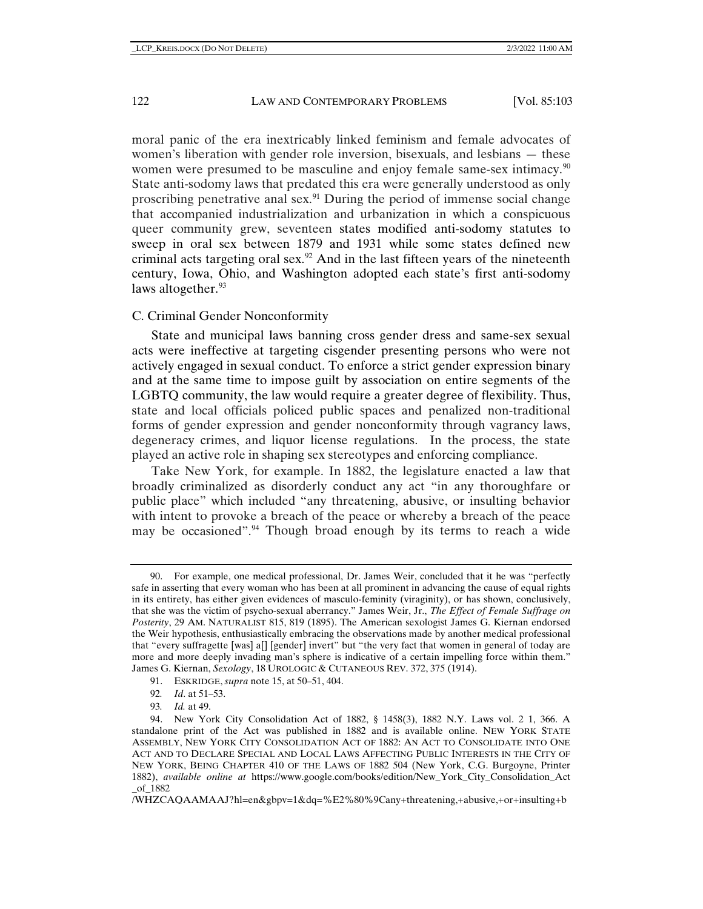moral panic of the era inextricably linked feminism and female advocates of women's liberation with gender role inversion, bisexuals, and lesbians — these women were presumed to be masculine and enjoy female same-sex intimacy.<sup>90</sup> State anti-sodomy laws that predated this era were generally understood as only proscribing penetrative anal sex[.91](#page-19-1) During the period of immense social change that accompanied industrialization and urbanization in which a conspicuous queer community grew, seventeen states modified anti-sodomy statutes to sweep in oral sex between 1879 and 1931 while some states defined new criminal acts targeting oral sex.<sup>[92](#page-19-2)</sup> And in the last fifteen years of the nineteenth century, Iowa, Ohio, and Washington adopted each state's first anti-sodomy laws altogether.<sup>[93](#page-19-3)</sup>

## C. Criminal Gender Nonconformity

State and municipal laws banning cross gender dress and same-sex sexual acts were ineffective at targeting cisgender presenting persons who were not actively engaged in sexual conduct. To enforce a strict gender expression binary and at the same time to impose guilt by association on entire segments of the LGBTQ community, the law would require a greater degree of flexibility. Thus, state and local officials policed public spaces and penalized non-traditional forms of gender expression and gender nonconformity through vagrancy laws, degeneracy crimes, and liquor license regulations. In the process, the state played an active role in shaping sex stereotypes and enforcing compliance.

Take New York, for example. In 1882, the legislature enacted a law that broadly criminalized as disorderly conduct any act "in any thoroughfare or public place" which included "any threatening, abusive, or insulting behavior with intent to provoke a breach of the peace or whereby a breach of the peace may be occasioned".<sup>[94](#page-19-4)</sup> Though broad enough by its terms to reach a wide

91. ESKRIDGE, *supra* note [15,](#page-5-2) at 50–51, 404.

93*. Id.* at 49.

<span id="page-19-0"></span><sup>90.</sup> For example, one medical professional, Dr. James Weir, concluded that it he was "perfectly safe in asserting that every woman who has been at all prominent in advancing the cause of equal rights in its entirety, has either given evidences of masculo-feminity (viraginity), or has shown, conclusively, that she was the victim of psycho-sexual aberrancy." James Weir, Jr., *The Effect of Female Suffrage on Posterity*, 29 AM. NATURALIST 815, 819 (1895). The American sexologist James G. Kiernan endorsed the Weir hypothesis, enthusiastically embracing the observations made by another medical professional that "every suffragette [was] a[] [gender] invert" but "the very fact that women in general of today are more and more deeply invading man's sphere is indicative of a certain impelling force within them." James G. Kiernan, *Sexology*, 18 UROLOGIC & CUTANEOUS REV. 372, 375 (1914).

<sup>92</sup>*. Id*. at 51–53.

<span id="page-19-4"></span><span id="page-19-3"></span><span id="page-19-2"></span><span id="page-19-1"></span><sup>94.</sup> New York City Consolidation Act of 1882, § 1458(3), 1882 N.Y. Laws vol. 2 1, 366. A standalone print of the Act was published in 1882 and is available online. NEW YORK STATE ASSEMBLY, NEW YORK CITY CONSOLIDATION ACT OF 1882: AN ACT TO CONSOLIDATE INTO ONE ACT AND TO DECLARE SPECIAL AND LOCAL LAWS AFFECTING PUBLIC INTERESTS IN THE CITY OF NEW YORK, BEING CHAPTER 410 OF THE LAWS OF 1882 504 (New York, C.G. Burgoyne, Printer 1882), *available online at* https://www.google.com/books/edition/New\_York\_City\_Consolidation\_Act \_of\_1882

<sup>/</sup>WHZCAQAAMAAJ?hl=en&gbpv=1&dq=%E2%80%9Cany+threatening,+abusive,+or+insulting+b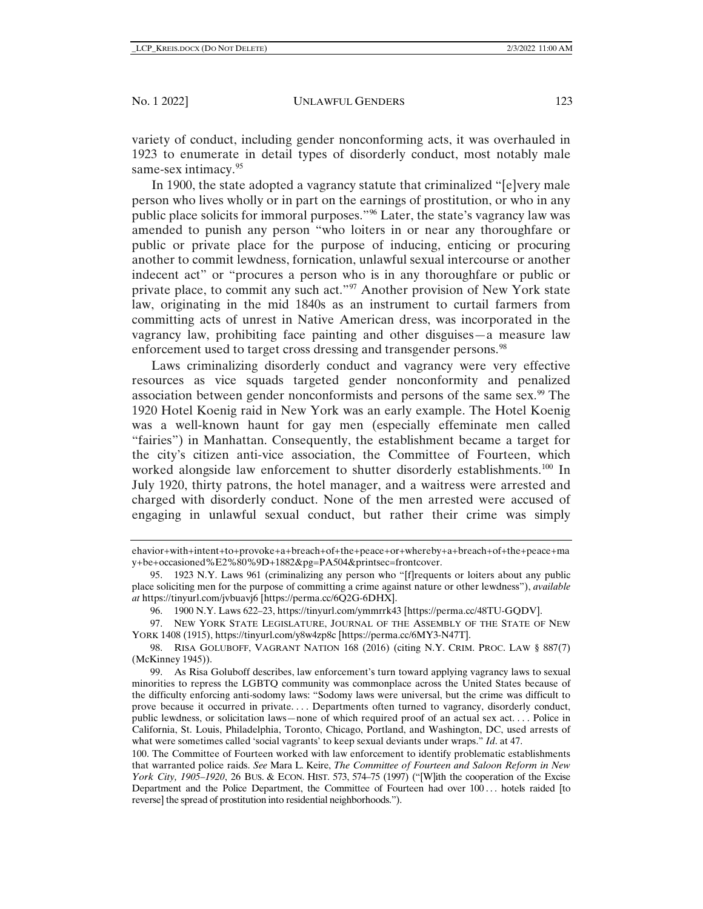variety of conduct, including gender nonconforming acts, it was overhauled in 1923 to enumerate in detail types of disorderly conduct, most notably male same-sex intimacy.<sup>[95](#page-20-0)</sup>

In 1900, the state adopted a vagrancy statute that criminalized "[e]very male person who lives wholly or in part on the earnings of prostitution, or who in any public place solicits for immoral purposes."[96](#page-20-1) Later, the state's vagrancy law was amended to punish any person "who loiters in or near any thoroughfare or public or private place for the purpose of inducing, enticing or procuring another to commit lewdness, fornication, unlawful sexual intercourse or another indecent act" or "procures a person who is in any thoroughfare or public or private place, to commit any such act."<sup>97</sup> Another provision of New York state law, originating in the mid 1840s as an instrument to curtail farmers from committing acts of unrest in Native American dress, was incorporated in the vagrancy law, prohibiting face painting and other disguises—a measure law enforcement used to target cross dressing and transgender persons.<sup>[98](#page-20-3)</sup>

Laws criminalizing disorderly conduct and vagrancy were very effective resources as vice squads targeted gender nonconformity and penalized association between gender nonconformists and persons of the same sex.[99](#page-20-4) The 1920 Hotel Koenig raid in New York was an early example. The Hotel Koenig was a well-known haunt for gay men (especially effeminate men called "fairies") in Manhattan. Consequently, the establishment became a target for the city's citizen anti-vice association, the Committee of Fourteen, which worked alongside law enforcement to shutter disorderly establishments.<sup>[100](#page-20-5)</sup> In July 1920, thirty patrons, the hotel manager, and a waitress were arrested and charged with disorderly conduct. None of the men arrested were accused of engaging in unlawful sexual conduct, but rather their crime was simply

ehavior+with+intent+to+provoke+a+breach+of+the+peace+or+whereby+a+breach+of+the+peace+ma y+be+occasioned%E2%80%9D+1882&pg=PA504&printsec=frontcover.

<span id="page-20-0"></span><sup>95.</sup> 1923 N.Y. Laws 961 (criminalizing any person who "[f]requents or loiters about any public place soliciting men for the purpose of committing a crime against nature or other lewdness"), *available at* https://tinyurl.com/jvbuavj6 [https://perma.cc/6Q2G-6DHX].

<sup>96.</sup> 1900 N.Y. Laws 622–23, https://tinyurl.com/ymmrrk43 [https://perma.cc/48TU-GQDV].

<span id="page-20-2"></span><span id="page-20-1"></span><sup>97.</sup> NEW YORK STATE LEGISLATURE, JOURNAL OF THE ASSEMBLY OF THE STATE OF NEW YORK 1408 (1915), https://tinyurl.com/y8w4zp8c [https://perma.cc/6MY3-N47T].

<span id="page-20-3"></span><sup>98.</sup> RISA GOLUBOFF, VAGRANT NATION 168 (2016) (citing N.Y. CRIM. PROC. LAW § 887(7) (McKinney 1945)).

<span id="page-20-4"></span><sup>99.</sup> As Risa Goluboff describes, law enforcement's turn toward applying vagrancy laws to sexual minorities to repress the LGBTQ community was commonplace across the United States because of the difficulty enforcing anti-sodomy laws: "Sodomy laws were universal, but the crime was difficult to prove because it occurred in private. . . . Departments often turned to vagrancy, disorderly conduct, public lewdness, or solicitation laws—none of which required proof of an actual sex act. . . . Police in California, St. Louis, Philadelphia, Toronto, Chicago, Portland, and Washington, DC, used arrests of what were sometimes called 'social vagrants' to keep sexual deviants under wraps." *Id*. at 47.

<span id="page-20-5"></span><sup>100.</sup> The Committee of Fourteen worked with law enforcement to identify problematic establishments that warranted police raids. *See* Mara L. Keire, *The Committee of Fourteen and Saloon Reform in New York City, 1905–1920*, 26 BUS. & ECON. HIST. 573, 574–75 (1997) ("[W]ith the cooperation of the Excise Department and the Police Department, the Committee of Fourteen had over 100... hotels raided [to reverse] the spread of prostitution into residential neighborhoods.").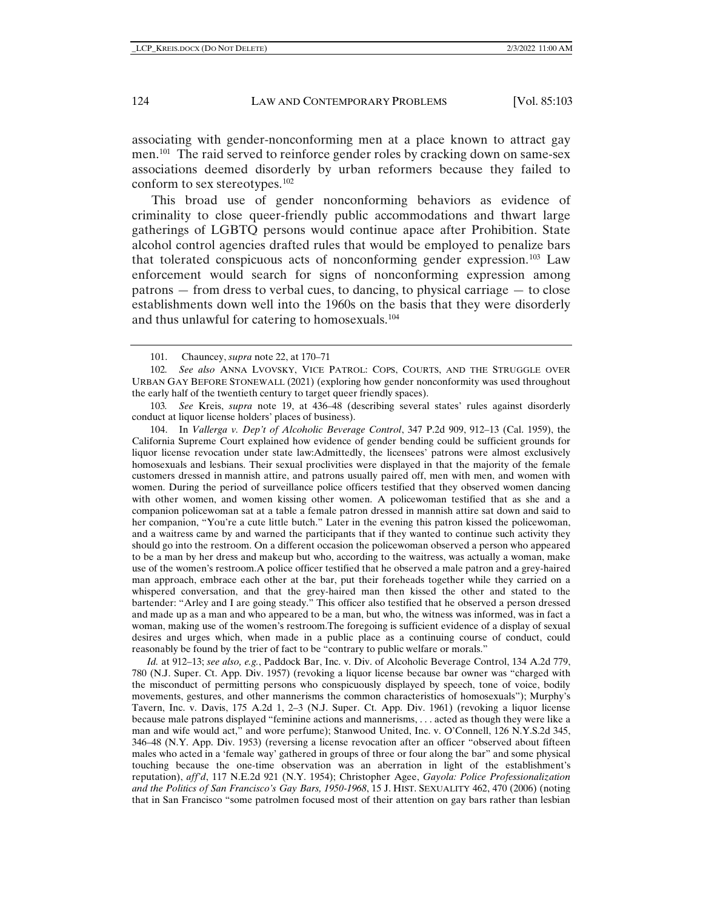associating with gender-nonconforming men at a place known to attract gay men.[101](#page-21-0) The raid served to reinforce gender roles by cracking down on same-sex associations deemed disorderly by urban reformers because they failed to conform to sex stereotypes.<sup>[102](#page-21-1)</sup>

This broad use of gender nonconforming behaviors as evidence of criminality to close queer-friendly public accommodations and thwart large gatherings of LGBTQ persons would continue apace after Prohibition. State alcohol control agencies drafted rules that would be employed to penalize bars that tolerated conspicuous acts of nonconforming gender expression.[103](#page-21-2) Law enforcement would search for signs of nonconforming expression among patrons — from dress to verbal cues, to dancing, to physical carriage — to close establishments down well into the 1960s on the basis that they were disorderly and thus unlawful for catering to homosexuals.[104](#page-21-3)

<span id="page-21-2"></span>103*. See* Kreis, *supra* note [19,](#page-6-4) at 436–48 (describing several states' rules against disorderly conduct at liquor license holders' places of business).

<span id="page-21-3"></span>104. In *Vallerga v. Dep't of Alcoholic Beverage Control*, 347 P.2d 909, 912–13 (Cal. 1959), the California Supreme Court explained how evidence of gender bending could be sufficient grounds for liquor license revocation under state law:Admittedly, the licensees' patrons were almost exclusively homosexuals and lesbians. Their sexual proclivities were displayed in that the majority of the female customers dressed in mannish attire, and patrons usually paired off, men with men, and women with women. During the period of surveillance police officers testified that they observed women dancing with other women, and women kissing other women. A policewoman testified that as she and a companion policewoman sat at a table a female patron dressed in mannish attire sat down and said to her companion, "You're a cute little butch." Later in the evening this patron kissed the policewoman, and a waitress came by and warned the participants that if they wanted to continue such activity they should go into the restroom. On a different occasion the policewoman observed a person who appeared to be a man by her dress and makeup but who, according to the waitress, was actually a woman, make use of the women's restroom.A police officer testified that he observed a male patron and a grey-haired man approach, embrace each other at the bar, put their foreheads together while they carried on a whispered conversation, and that the grey-haired man then kissed the other and stated to the bartender: "Arley and I are going steady." This officer also testified that he observed a person dressed and made up as a man and who appeared to be a man, but who, the witness was informed, was in fact a woman, making use of the women's restroom.The foregoing is sufficient evidence of a display of sexual desires and urges which, when made in a public place as a continuing course of conduct, could reasonably be found by the trier of fact to be "contrary to public welfare or morals."

*Id.* at 912–13; *see also, e.g.*, Paddock Bar, Inc. v. Div. of Alcoholic Beverage Control, 134 A.2d 779, 780 (N.J. Super. Ct. App. Div. 1957) (revoking a liquor license because bar owner was "charged with the misconduct of permitting persons who conspicuously displayed by speech, tone of voice, bodily movements, gestures, and other mannerisms the common characteristics of homosexuals"); Murphy's Tavern, Inc. v. Davis, 175 A.2d 1, 2–3 (N.J. Super. Ct. App. Div. 1961) (revoking a liquor license because male patrons displayed "feminine actions and mannerisms, . . . acted as though they were like a man and wife would act," and wore perfume); Stanwood United, Inc. v. O'Connell, 126 N.Y.S.2d 345, 346–48 (N.Y. App. Div. 1953) (reversing a license revocation after an officer "observed about fifteen males who acted in a 'female way' gathered in groups of three or four along the bar" and some physical touching because the one-time observation was an aberration in light of the establishment's reputation), *aff'd*, 117 N.E.2d 921 (N.Y. 1954); Christopher Agee, *Gayola: Police Professionalization and the Politics of San Francisco's Gay Bars, 1950-1968*, 15 J. HIST. SEXUALITY 462, 470 (2006) (noting that in San Francisco "some patrolmen focused most of their attention on gay bars rather than lesbian

<sup>101.</sup> Chauncey, *supra* note 22, at 170–71

<span id="page-21-1"></span><span id="page-21-0"></span><sup>102</sup>*. See also* ANNA LVOVSKY, VICE PATROL: COPS, COURTS, AND THE STRUGGLE OVER URBAN GAY BEFORE STONEWALL (2021) (exploring how gender nonconformity was used throughout the early half of the twentieth century to target queer friendly spaces).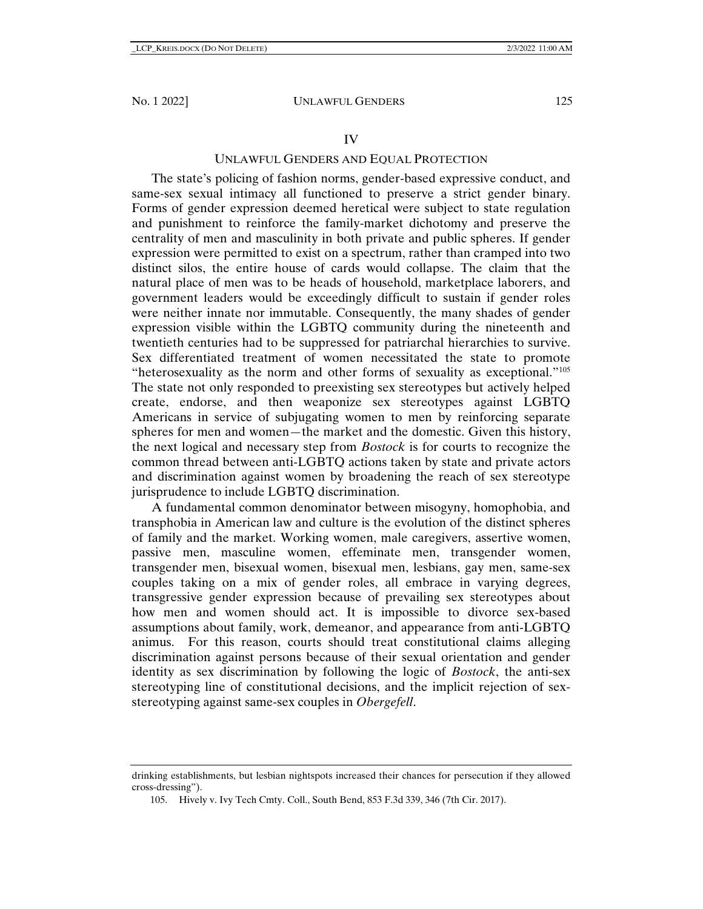#### UNLAWFUL GENDERS AND EQUAL PROTECTION

The state's policing of fashion norms, gender-based expressive conduct, and same-sex sexual intimacy all functioned to preserve a strict gender binary. Forms of gender expression deemed heretical were subject to state regulation and punishment to reinforce the family-market dichotomy and preserve the centrality of men and masculinity in both private and public spheres. If gender expression were permitted to exist on a spectrum, rather than cramped into two distinct silos, the entire house of cards would collapse. The claim that the natural place of men was to be heads of household, marketplace laborers, and government leaders would be exceedingly difficult to sustain if gender roles were neither innate nor immutable. Consequently, the many shades of gender expression visible within the LGBTQ community during the nineteenth and twentieth centuries had to be suppressed for patriarchal hierarchies to survive. Sex differentiated treatment of women necessitated the state to promote "heterosexuality as the norm and other forms of sexuality as exceptional."[105](#page-22-0) The state not only responded to preexisting sex stereotypes but actively helped create, endorse, and then weaponize sex stereotypes against LGBTQ Americans in service of subjugating women to men by reinforcing separate spheres for men and women—the market and the domestic. Given this history, the next logical and necessary step from *Bostock* is for courts to recognize the common thread between anti-LGBTQ actions taken by state and private actors and discrimination against women by broadening the reach of sex stereotype jurisprudence to include LGBTQ discrimination.

A fundamental common denominator between misogyny, homophobia, and transphobia in American law and culture is the evolution of the distinct spheres of family and the market. Working women, male caregivers, assertive women, passive men, masculine women, effeminate men, transgender women, transgender men, bisexual women, bisexual men, lesbians, gay men, same-sex couples taking on a mix of gender roles, all embrace in varying degrees, transgressive gender expression because of prevailing sex stereotypes about how men and women should act. It is impossible to divorce sex-based assumptions about family, work, demeanor, and appearance from anti-LGBTQ animus. For this reason, courts should treat constitutional claims alleging discrimination against persons because of their sexual orientation and gender identity as sex discrimination by following the logic of *Bostock*, the anti-sex stereotyping line of constitutional decisions, and the implicit rejection of sexstereotyping against same-sex couples in *Obergefell*.

<span id="page-22-0"></span>drinking establishments, but lesbian nightspots increased their chances for persecution if they allowed cross-dressing").

<sup>105.</sup> Hively v. Ivy Tech Cmty. Coll., South Bend, 853 F.3d 339, 346 (7th Cir. 2017).